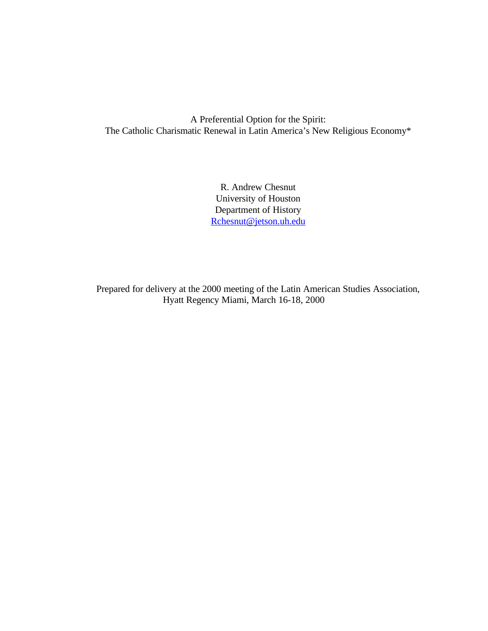A Preferential Option for the Spirit: The Catholic Charismatic Renewal in Latin America's New Religious Economy\*

> R. Andrew Chesnut University of Houston Department of History Rchesnut@jetson.uh.edu

Prepared for delivery at the 2000 meeting of the Latin American Studies Association, Hyatt Regency Miami, March 16-18, 2000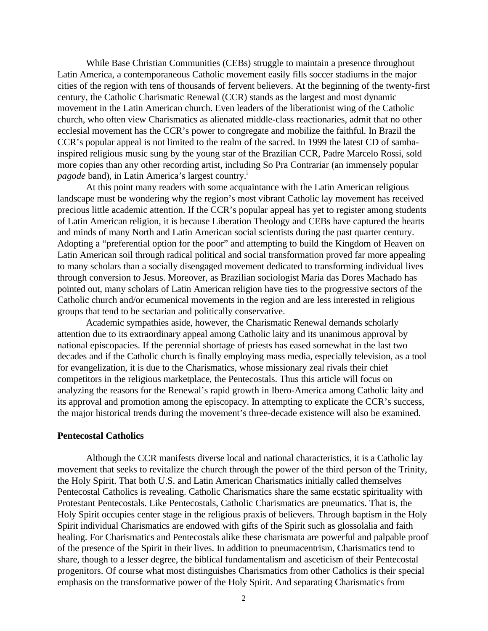While Base Christian Communities (CEBs) struggle to maintain a presence throughout Latin America, a contemporaneous Catholic movement easily fills soccer stadiums in the major cities of the region with tens of thousands of fervent believers. At the beginning of the twenty-first century, the Catholic Charismatic Renewal (CCR) stands as the largest and most dynamic movement in the Latin American church. Even leaders of the liberationist wing of the Catholic church, who often view Charismatics as alienated middle-class reactionaries, admit that no other ecclesial movement has the CCR's power to congregate and mobilize the faithful. In Brazil the CCR's popular appeal is not limited to the realm of the sacred. In 1999 the latest CD of sambainspired religious music sung by the young star of the Brazilian CCR, Padre Marcelo Rossi, sold more copies than any other recording artist, including So Pra Contrariar (an immensely popular *pagode* band), in Latin America's largest country.<sup>i</sup>

At this point many readers with some acquaintance with the Latin American religious landscape must be wondering why the region's most vibrant Catholic lay movement has received precious little academic attention. If the CCR's popular appeal has yet to register among students of Latin American religion, it is because Liberation Theology and CEBs have captured the hearts and minds of many North and Latin American social scientists during the past quarter century. Adopting a "preferential option for the poor" and attempting to build the Kingdom of Heaven on Latin American soil through radical political and social transformation proved far more appealing to many scholars than a socially disengaged movement dedicated to transforming individual lives through conversion to Jesus. Moreover, as Brazilian sociologist Maria das Dores Machado has pointed out, many scholars of Latin American religion have ties to the progressive sectors of the Catholic church and/or ecumenical movements in the region and are less interested in religious groups that tend to be sectarian and politically conservative.

Academic sympathies aside, however, the Charismatic Renewal demands scholarly attention due to its extraordinary appeal among Catholic laity and its unanimous approval by national episcopacies. If the perennial shortage of priests has eased somewhat in the last two decades and if the Catholic church is finally employing mass media, especially television, as a tool for evangelization, it is due to the Charismatics, whose missionary zeal rivals their chief competitors in the religious marketplace, the Pentecostals. Thus this article will focus on analyzing the reasons for the Renewal's rapid growth in Ibero-America among Catholic laity and its approval and promotion among the episcopacy. In attempting to explicate the CCR's success, the major historical trends during the movement's three-decade existence will also be examined.

# **Pentecostal Catholics**

Although the CCR manifests diverse local and national characteristics, it is a Catholic lay movement that seeks to revitalize the church through the power of the third person of the Trinity, the Holy Spirit. That both U.S. and Latin American Charismatics initially called themselves Pentecostal Catholics is revealing. Catholic Charismatics share the same ecstatic spirituality with Protestant Pentecostals. Like Pentecostals, Catholic Charismatics are pneumatics. That is, the Holy Spirit occupies center stage in the religious praxis of believers. Through baptism in the Holy Spirit individual Charismatics are endowed with gifts of the Spirit such as glossolalia and faith healing. For Charismatics and Pentecostals alike these charismata are powerful and palpable proof of the presence of the Spirit in their lives. In addition to pneumacentrism, Charismatics tend to share, though to a lesser degree, the biblical fundamentalism and asceticism of their Pentecostal progenitors. Of course what most distinguishes Charismatics from other Catholics is their special emphasis on the transformative power of the Holy Spirit. And separating Charismatics from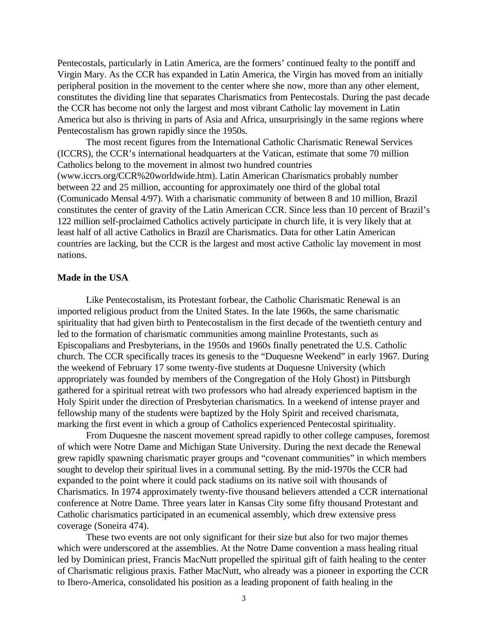Pentecostals, particularly in Latin America, are the formers' continued fealty to the pontiff and Virgin Mary. As the CCR has expanded in Latin America, the Virgin has moved from an initially peripheral position in the movement to the center where she now, more than any other element, constitutes the dividing line that separates Charismatics from Pentecostals. During the past decade the CCR has become not only the largest and most vibrant Catholic lay movement in Latin America but also is thriving in parts of Asia and Africa, unsurprisingly in the same regions where Pentecostalism has grown rapidly since the 1950s.

The most recent figures from the International Catholic Charismatic Renewal Services (ICCRS), the CCR's international headquarters at the Vatican, estimate that some 70 million Catholics belong to the movement in almost two hundred countries (www.iccrs.org/CCR%20worldwide.htm). Latin American Charismatics probably number between 22 and 25 million, accounting for approximately one third of the global total (Comunicado Mensal 4/97). With a charismatic community of between 8 and 10 million, Brazil constitutes the center of gravity of the Latin American CCR. Since less than 10 percent of Brazil's 122 million self-proclaimed Catholics actively participate in church life, it is very likely that at least half of all active Catholics in Brazil are Charismatics. Data for other Latin American countries are lacking, but the CCR is the largest and most active Catholic lay movement in most nations.

# **Made in the USA**

Like Pentecostalism, its Protestant forbear, the Catholic Charismatic Renewal is an imported religious product from the United States. In the late 1960s, the same charismatic spirituality that had given birth to Pentecostalism in the first decade of the twentieth century and led to the formation of charismatic communities among mainline Protestants, such as Episcopalians and Presbyterians, in the 1950s and 1960s finally penetrated the U.S. Catholic church. The CCR specifically traces its genesis to the "Duquesne Weekend" in early 1967. During the weekend of February 17 some twenty-five students at Duquesne University (which appropriately was founded by members of the Congregation of the Holy Ghost) in Pittsburgh gathered for a spiritual retreat with two professors who had already experienced baptism in the Holy Spirit under the direction of Presbyterian charismatics. In a weekend of intense prayer and fellowship many of the students were baptized by the Holy Spirit and received charismata, marking the first event in which a group of Catholics experienced Pentecostal spirituality.

From Duquesne the nascent movement spread rapidly to other college campuses, foremost of which were Notre Dame and Michigan State University. During the next decade the Renewal grew rapidly spawning charismatic prayer groups and "covenant communities" in which members sought to develop their spiritual lives in a communal setting. By the mid-1970s the CCR had expanded to the point where it could pack stadiums on its native soil with thousands of Charismatics. In 1974 approximately twenty-five thousand believers attended a CCR international conference at Notre Dame. Three years later in Kansas City some fifty thousand Protestant and Catholic charismatics participated in an ecumenical assembly, which drew extensive press coverage (Soneira 474).

These two events are not only significant for their size but also for two major themes which were underscored at the assemblies. At the Notre Dame convention a mass healing ritual led by Dominican priest, Francis MacNutt propelled the spiritual gift of faith healing to the center of Charismatic religious praxis. Father MacNutt, who already was a pioneer in exporting the CCR to Ibero-America, consolidated his position as a leading proponent of faith healing in the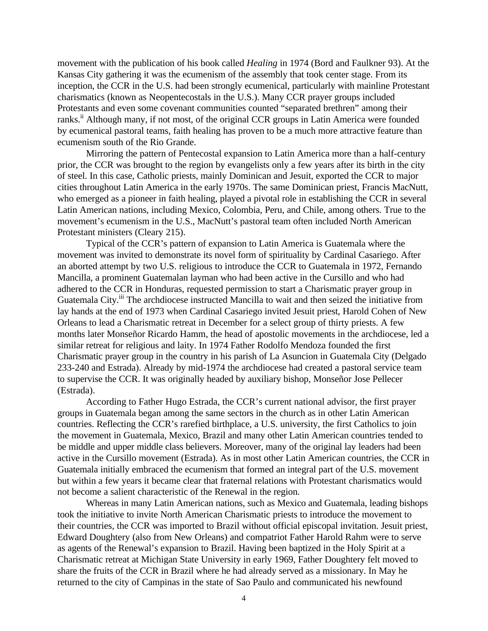movement with the publication of his book called *Healing* in 1974 (Bord and Faulkner 93). At the Kansas City gathering it was the ecumenism of the assembly that took center stage. From its inception, the CCR in the U.S. had been strongly ecumenical, particularly with mainline Protestant charismatics (known as Neopentecostals in the U.S.). Many CCR prayer groups included Protestants and even some covenant communities counted "separated brethren" among their ranks.<sup>ii</sup> Although many, if not most, of the original CCR groups in Latin America were founded by ecumenical pastoral teams, faith healing has proven to be a much more attractive feature than ecumenism south of the Rio Grande.

Mirroring the pattern of Pentecostal expansion to Latin America more than a half-century prior, the CCR was brought to the region by evangelists only a few years after its birth in the city of steel. In this case, Catholic priests, mainly Dominican and Jesuit, exported the CCR to major cities throughout Latin America in the early 1970s. The same Dominican priest, Francis MacNutt, who emerged as a pioneer in faith healing, played a pivotal role in establishing the CCR in several Latin American nations, including Mexico, Colombia, Peru, and Chile, among others. True to the movement's ecumenism in the U.S., MacNutt's pastoral team often included North American Protestant ministers (Cleary 215).

Typical of the CCR's pattern of expansion to Latin America is Guatemala where the movement was invited to demonstrate its novel form of spirituality by Cardinal Casariego. After an aborted attempt by two U.S. religious to introduce the CCR to Guatemala in 1972, Fernando Mancilla, a prominent Guatemalan layman who had been active in the Cursillo and who had adhered to the CCR in Honduras, requested permission to start a Charismatic prayer group in Guatemala City.<sup>iii</sup> The archdiocese instructed Mancilla to wait and then seized the initiative from lay hands at the end of 1973 when Cardinal Casariego invited Jesuit priest, Harold Cohen of New Orleans to lead a Charismatic retreat in December for a select group of thirty priests. A few months later Monseñor Ricardo Hamm, the head of apostolic movements in the archdiocese, led a similar retreat for religious and laity. In 1974 Father Rodolfo Mendoza founded the first Charismatic prayer group in the country in his parish of La Asuncion in Guatemala City (Delgado 233-240 and Estrada). Already by mid-1974 the archdiocese had created a pastoral service team to supervise the CCR. It was originally headed by auxiliary bishop, Monseñor Jose Pellecer (Estrada).

According to Father Hugo Estrada, the CCR's current national advisor, the first prayer groups in Guatemala began among the same sectors in the church as in other Latin American countries. Reflecting the CCR's rarefied birthplace, a U.S. university, the first Catholics to join the movement in Guatemala, Mexico, Brazil and many other Latin American countries tended to be middle and upper middle class believers. Moreover, many of the original lay leaders had been active in the Cursillo movement (Estrada). As in most other Latin American countries, the CCR in Guatemala initially embraced the ecumenism that formed an integral part of the U.S. movement but within a few years it became clear that fraternal relations with Protestant charismatics would not become a salient characteristic of the Renewal in the region.

Whereas in many Latin American nations, such as Mexico and Guatemala, leading bishops took the initiative to invite North American Charismatic priests to introduce the movement to their countries, the CCR was imported to Brazil without official episcopal invitation. Jesuit priest, Edward Doughtery (also from New Orleans) and compatriot Father Harold Rahm were to serve as agents of the Renewal's expansion to Brazil. Having been baptized in the Holy Spirit at a Charismatic retreat at Michigan State University in early 1969, Father Doughtery felt moved to share the fruits of the CCR in Brazil where he had already served as a missionary. In May he returned to the city of Campinas in the state of Sao Paulo and communicated his newfound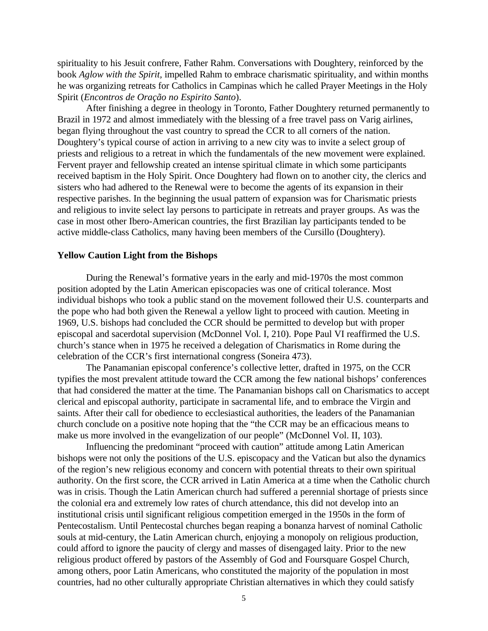spirituality to his Jesuit confrere, Father Rahm. Conversations with Doughtery, reinforced by the book *Aglow with the Spirit,* impelled Rahm to embrace charismatic spirituality, and within months he was organizing retreats for Catholics in Campinas which he called Prayer Meetings in the Holy Spirit (*Encontros de Oração no Espirito Santo*).

After finishing a degree in theology in Toronto, Father Doughtery returned permanently to Brazil in 1972 and almost immediately with the blessing of a free travel pass on Varig airlines, began flying throughout the vast country to spread the CCR to all corners of the nation. Doughtery's typical course of action in arriving to a new city was to invite a select group of priests and religious to a retreat in which the fundamentals of the new movement were explained. Fervent prayer and fellowship created an intense spiritual climate in which some participants received baptism in the Holy Spirit. Once Doughtery had flown on to another city, the clerics and sisters who had adhered to the Renewal were to become the agents of its expansion in their respective parishes. In the beginning the usual pattern of expansion was for Charismatic priests and religious to invite select lay persons to participate in retreats and prayer groups. As was the case in most other Ibero-American countries, the first Brazilian lay participants tended to be active middle-class Catholics, many having been members of the Cursillo (Doughtery).

#### **Yellow Caution Light from the Bishops**

During the Renewal's formative years in the early and mid-1970s the most common position adopted by the Latin American episcopacies was one of critical tolerance. Most individual bishops who took a public stand on the movement followed their U.S. counterparts and the pope who had both given the Renewal a yellow light to proceed with caution. Meeting in 1969, U.S. bishops had concluded the CCR should be permitted to develop but with proper episcopal and sacerdotal supervision (McDonnel Vol. I, 210). Pope Paul VI reaffirmed the U.S. church's stance when in 1975 he received a delegation of Charismatics in Rome during the celebration of the CCR's first international congress (Soneira 473).

The Panamanian episcopal conference's collective letter, drafted in 1975, on the CCR typifies the most prevalent attitude toward the CCR among the few national bishops' conferences that had considered the matter at the time. The Panamanian bishops call on Charismatics to accept clerical and episcopal authority, participate in sacramental life, and to embrace the Virgin and saints. After their call for obedience to ecclesiastical authorities, the leaders of the Panamanian church conclude on a positive note hoping that the "the CCR may be an efficacious means to make us more involved in the evangelization of our people" (McDonnel Vol. II, 103).

Influencing the predominant "proceed with caution" attitude among Latin American bishops were not only the positions of the U.S. episcopacy and the Vatican but also the dynamics of the region's new religious economy and concern with potential threats to their own spiritual authority. On the first score, the CCR arrived in Latin America at a time when the Catholic church was in crisis. Though the Latin American church had suffered a perennial shortage of priests since the colonial era and extremely low rates of church attendance, this did not develop into an institutional crisis until significant religious competition emerged in the 1950s in the form of Pentecostalism. Until Pentecostal churches began reaping a bonanza harvest of nominal Catholic souls at mid-century, the Latin American church, enjoying a monopoly on religious production, could afford to ignore the paucity of clergy and masses of disengaged laity. Prior to the new religious product offered by pastors of the Assembly of God and Foursquare Gospel Church, among others, poor Latin Americans, who constituted the majority of the population in most countries, had no other culturally appropriate Christian alternatives in which they could satisfy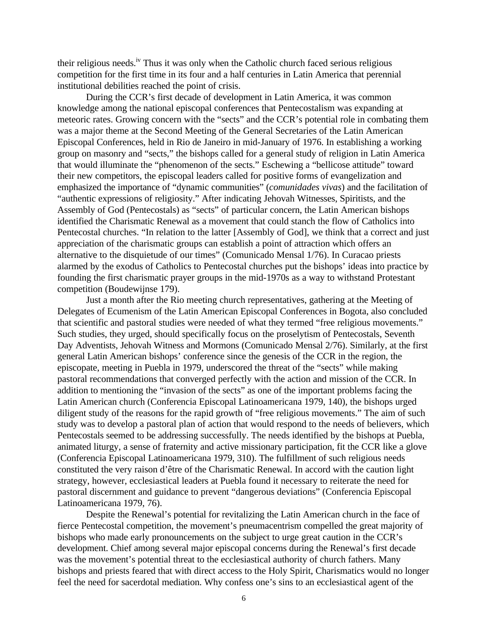their religious needs.iv Thus it was only when the Catholic church faced serious religious competition for the first time in its four and a half centuries in Latin America that perennial institutional debilities reached the point of crisis.

During the CCR's first decade of development in Latin America, it was common knowledge among the national episcopal conferences that Pentecostalism was expanding at meteoric rates. Growing concern with the "sects" and the CCR's potential role in combating them was a major theme at the Second Meeting of the General Secretaries of the Latin American Episcopal Conferences, held in Rio de Janeiro in mid-January of 1976. In establishing a working group on masonry and "sects," the bishops called for a general study of religion in Latin America that would illuminate the "phenomenon of the sects." Eschewing a "bellicose attitude" toward their new competitors, the episcopal leaders called for positive forms of evangelization and emphasized the importance of "dynamic communities" (*comunidades vivas*) and the facilitation of "authentic expressions of religiosity." After indicating Jehovah Witnesses, Spiritists, and the Assembly of God (Pentecostals) as "sects" of particular concern, the Latin American bishops identified the Charismatic Renewal as a movement that could stanch the flow of Catholics into Pentecostal churches. "In relation to the latter [Assembly of God], we think that a correct and just appreciation of the charismatic groups can establish a point of attraction which offers an alternative to the disquietude of our times" (Comunicado Mensal 1/76). In Curacao priests alarmed by the exodus of Catholics to Pentecostal churches put the bishops' ideas into practice by founding the first charismatic prayer groups in the mid-1970s as a way to withstand Protestant competition (Boudewijnse 179).

Just a month after the Rio meeting church representatives, gathering at the Meeting of Delegates of Ecumenism of the Latin American Episcopal Conferences in Bogota, also concluded that scientific and pastoral studies were needed of what they termed "free religious movements." Such studies, they urged, should specifically focus on the proselytism of Pentecostals, Seventh Day Adventists, Jehovah Witness and Mormons (Comunicado Mensal 2/76). Similarly, at the first general Latin American bishops' conference since the genesis of the CCR in the region, the episcopate, meeting in Puebla in 1979, underscored the threat of the "sects" while making pastoral recommendations that converged perfectly with the action and mission of the CCR. In addition to mentioning the "invasion of the sects" as one of the important problems facing the Latin American church (Conferencia Episcopal Latinoamericana 1979, 140), the bishops urged diligent study of the reasons for the rapid growth of "free religious movements." The aim of such study was to develop a pastoral plan of action that would respond to the needs of believers, which Pentecostals seemed to be addressing successfully. The needs identified by the bishops at Puebla, animated liturgy, a sense of fraternity and active missionary participation, fit the CCR like a glove (Conferencia Episcopal Latinoamericana 1979, 310). The fulfillment of such religious needs constituted the very raison d'être of the Charismatic Renewal. In accord with the caution light strategy, however, ecclesiastical leaders at Puebla found it necessary to reiterate the need for pastoral discernment and guidance to prevent "dangerous deviations" (Conferencia Episcopal Latinoamericana 1979, 76).

Despite the Renewal's potential for revitalizing the Latin American church in the face of fierce Pentecostal competition, the movement's pneumacentrism compelled the great majority of bishops who made early pronouncements on the subject to urge great caution in the CCR's development. Chief among several major episcopal concerns during the Renewal's first decade was the movement's potential threat to the ecclesiastical authority of church fathers. Many bishops and priests feared that with direct access to the Holy Spirit, Charismatics would no longer feel the need for sacerdotal mediation. Why confess one's sins to an ecclesiastical agent of the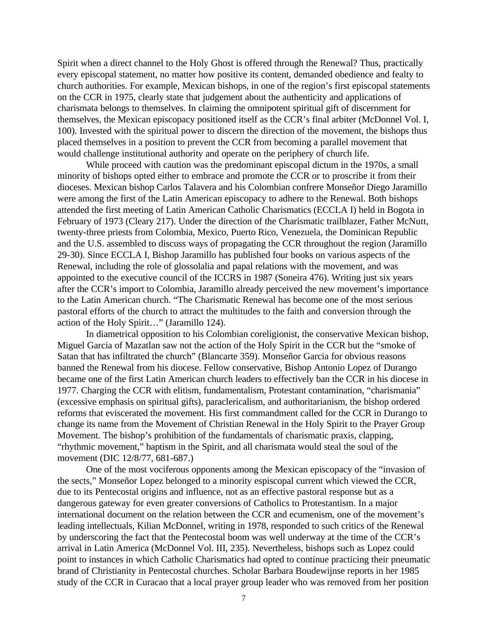Spirit when a direct channel to the Holy Ghost is offered through the Renewal? Thus, practically every episcopal statement, no matter how positive its content, demanded obedience and fealty to church authorities. For example, Mexican bishops, in one of the region's first episcopal statements on the CCR in 1975, clearly state that judgement about the authenticity and applications of charismata belongs to themselves. In claiming the omnipotent spiritual gift of discernment for themselves, the Mexican episcopacy positioned itself as the CCR's final arbiter (McDonnel Vol. I, 100). Invested with the spiritual power to discern the direction of the movement, the bishops thus placed themselves in a position to prevent the CCR from becoming a parallel movement that would challenge institutional authority and operate on the periphery of church life.

While proceed with caution was the predominant episcopal dictum in the 1970s, a small minority of bishops opted either to embrace and promote the CCR or to proscribe it from their dioceses. Mexican bishop Carlos Talavera and his Colombian confrere Monseñor Diego Jaramillo were among the first of the Latin American episcopacy to adhere to the Renewal. Both bishops attended the first meeting of Latin American Catholic Charismatics (ECCLA I) held in Bogota in February of 1973 (Cleary 217). Under the direction of the Charismatic trailblazer, Father McNutt, twenty-three priests from Colombia, Mexico, Puerto Rico, Venezuela, the Dominican Republic and the U.S. assembled to discuss ways of propagating the CCR throughout the region (Jaramillo 29-30). Since ECCLA I, Bishop Jaramillo has published four books on various aspects of the Renewal, including the role of glossolalia and papal relations with the movement, and was appointed to the executive council of the ICCRS in 1987 (Soneira 476). Writing just six years after the CCR's import to Colombia, Jaramillo already perceived the new movement's importance to the Latin American church. "The Charismatic Renewal has become one of the most serious pastoral efforts of the church to attract the multitudes to the faith and conversion through the action of the Holy Spirit…" (Jaramillo 124).

In diametrical opposition to his Colombian coreligionist, the conservative Mexican bishop, Miguel Garcia of Mazatlan saw not the action of the Holy Spirit in the CCR but the "smoke of Satan that has infiltrated the church" (Blancarte 359). Monseñor Garcia for obvious reasons banned the Renewal from his diocese. Fellow conservative, Bishop Antonio Lopez of Durango became one of the first Latin American church leaders to effectively ban the CCR in his diocese in 1977. Charging the CCR with elitism, fundamentalism, Protestant contamination, "charismania" (excessive emphasis on spiritual gifts), paraclericalism, and authoritarianism, the bishop ordered reforms that eviscerated the movement. His first commandment called for the CCR in Durango to change its name from the Movement of Christian Renewal in the Holy Spirit to the Prayer Group Movement. The bishop's prohibition of the fundamentals of charismatic praxis, clapping, "rhythmic movement," baptism in the Spirit, and all charismata would steal the soul of the movement (DIC 12/8/77, 681-687.)

One of the most vociferous opponents among the Mexican episcopacy of the "invasion of the sects," Monseñor Lopez belonged to a minority espiscopal current which viewed the CCR, due to its Pentecostal origins and influence, not as an effective pastoral response but as a dangerous gateway for even greater conversions of Catholics to Protestantism. In a major international document on the relation between the CCR and ecumenism, one of the movement's leading intellectuals, Kilian McDonnel, writing in 1978, responded to such critics of the Renewal by underscoring the fact that the Pentecostal boom was well underway at the time of the CCR's arrival in Latin America (McDonnel Vol. III, 235). Nevertheless, bishops such as Lopez could point to instances in which Catholic Charismatics had opted to continue practicing their pneumatic brand of Christianity in Pentecostal churches. Scholar Barbara Boudewijnse reports in her 1985 study of the CCR in Curacao that a local prayer group leader who was removed from her position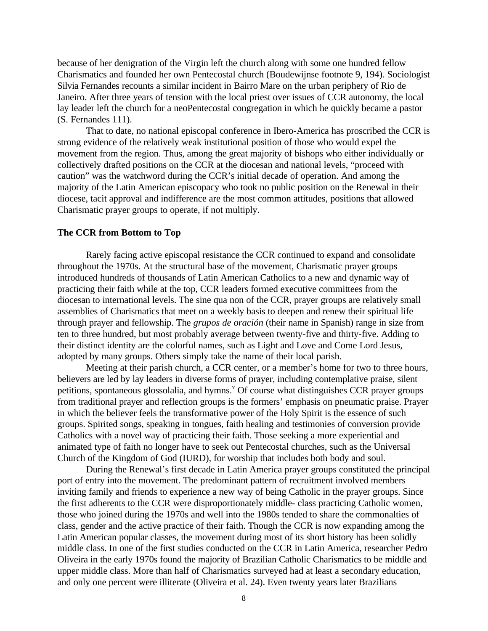because of her denigration of the Virgin left the church along with some one hundred fellow Charismatics and founded her own Pentecostal church (Boudewijnse footnote 9, 194). Sociologist Silvia Fernandes recounts a similar incident in Bairro Mare on the urban periphery of Rio de Janeiro. After three years of tension with the local priest over issues of CCR autonomy, the local lay leader left the church for a neoPentecostal congregation in which he quickly became a pastor (S. Fernandes 111).

That to date, no national episcopal conference in Ibero-America has proscribed the CCR is strong evidence of the relatively weak institutional position of those who would expel the movement from the region. Thus, among the great majority of bishops who either individually or collectively drafted positions on the CCR at the diocesan and national levels, "proceed with caution" was the watchword during the CCR's initial decade of operation. And among the majority of the Latin American episcopacy who took no public position on the Renewal in their diocese, tacit approval and indifference are the most common attitudes, positions that allowed Charismatic prayer groups to operate, if not multiply.

# **The CCR from Bottom to Top**

Rarely facing active episcopal resistance the CCR continued to expand and consolidate throughout the 1970s. At the structural base of the movement, Charismatic prayer groups introduced hundreds of thousands of Latin American Catholics to a new and dynamic way of practicing their faith while at the top, CCR leaders formed executive committees from the diocesan to international levels. The sine qua non of the CCR, prayer groups are relatively small assemblies of Charismatics that meet on a weekly basis to deepen and renew their spiritual life through prayer and fellowship. The *grupos de oración* (their name in Spanish) range in size from ten to three hundred, but most probably average between twenty-five and thirty-five. Adding to their distinct identity are the colorful names, such as Light and Love and Come Lord Jesus, adopted by many groups. Others simply take the name of their local parish.

Meeting at their parish church, a CCR center, or a member's home for two to three hours, believers are led by lay leaders in diverse forms of prayer, including contemplative praise, silent petitions, spontaneous glossolalia, and hymns.<sup>V</sup> Of course what distinguishes CCR prayer groups from traditional prayer and reflection groups is the formers' emphasis on pneumatic praise. Prayer in which the believer feels the transformative power of the Holy Spirit is the essence of such groups. Spirited songs, speaking in tongues, faith healing and testimonies of conversion provide Catholics with a novel way of practicing their faith. Those seeking a more experiential and animated type of faith no longer have to seek out Pentecostal churches, such as the Universal Church of the Kingdom of God (IURD), for worship that includes both body and soul.

During the Renewal's first decade in Latin America prayer groups constituted the principal port of entry into the movement. The predominant pattern of recruitment involved members inviting family and friends to experience a new way of being Catholic in the prayer groups. Since the first adherents to the CCR were disproportionately middle- class practicing Catholic women, those who joined during the 1970s and well into the 1980s tended to share the commonalties of class, gender and the active practice of their faith. Though the CCR is now expanding among the Latin American popular classes, the movement during most of its short history has been solidly middle class. In one of the first studies conducted on the CCR in Latin America, researcher Pedro Oliveira in the early 1970s found the majority of Brazilian Catholic Charismatics to be middle and upper middle class. More than half of Charismatics surveyed had at least a secondary education, and only one percent were illiterate (Oliveira et al. 24). Even twenty years later Brazilians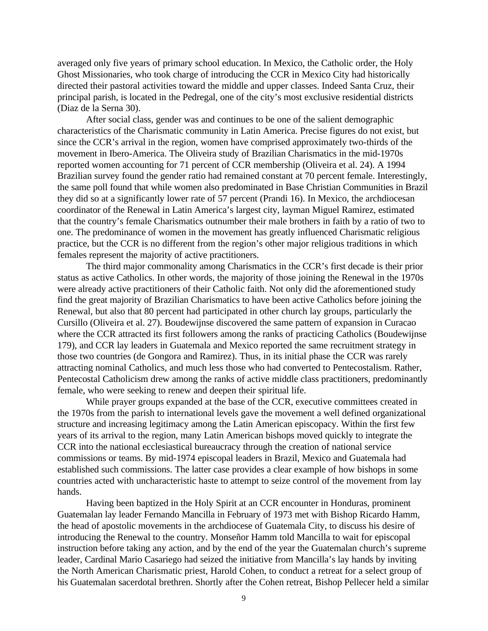averaged only five years of primary school education. In Mexico, the Catholic order, the Holy Ghost Missionaries, who took charge of introducing the CCR in Mexico City had historically directed their pastoral activities toward the middle and upper classes. Indeed Santa Cruz, their principal parish, is located in the Pedregal, one of the city's most exclusive residential districts (Diaz de la Serna 30).

After social class, gender was and continues to be one of the salient demographic characteristics of the Charismatic community in Latin America. Precise figures do not exist, but since the CCR's arrival in the region, women have comprised approximately two-thirds of the movement in Ibero-America. The Oliveira study of Brazilian Charismatics in the mid-1970s reported women accounting for 71 percent of CCR membership (Oliveira et al. 24). A 1994 Brazilian survey found the gender ratio had remained constant at 70 percent female. Interestingly, the same poll found that while women also predominated in Base Christian Communities in Brazil they did so at a significantly lower rate of 57 percent (Prandi 16). In Mexico, the archdiocesan coordinator of the Renewal in Latin America's largest city, layman Miguel Ramirez, estimated that the country's female Charismatics outnumber their male brothers in faith by a ratio of two to one. The predominance of women in the movement has greatly influenced Charismatic religious practice, but the CCR is no different from the region's other major religious traditions in which females represent the majority of active practitioners.

The third major commonality among Charismatics in the CCR's first decade is their prior status as active Catholics. In other words, the majority of those joining the Renewal in the 1970s were already active practitioners of their Catholic faith. Not only did the aforementioned study find the great majority of Brazilian Charismatics to have been active Catholics before joining the Renewal, but also that 80 percent had participated in other church lay groups, particularly the Cursillo (Oliveira et al. 27). Boudewijnse discovered the same pattern of expansion in Curacao where the CCR attracted its first followers among the ranks of practicing Catholics (Boudewijnse 179), and CCR lay leaders in Guatemala and Mexico reported the same recruitment strategy in those two countries (de Gongora and Ramirez). Thus, in its initial phase the CCR was rarely attracting nominal Catholics, and much less those who had converted to Pentecostalism. Rather, Pentecostal Catholicism drew among the ranks of active middle class practitioners, predominantly female, who were seeking to renew and deepen their spiritual life.

While prayer groups expanded at the base of the CCR, executive committees created in the 1970s from the parish to international levels gave the movement a well defined organizational structure and increasing legitimacy among the Latin American episcopacy. Within the first few years of its arrival to the region, many Latin American bishops moved quickly to integrate the CCR into the national ecclesiastical bureaucracy through the creation of national service commissions or teams. By mid-1974 episcopal leaders in Brazil, Mexico and Guatemala had established such commissions. The latter case provides a clear example of how bishops in some countries acted with uncharacteristic haste to attempt to seize control of the movement from lay hands.

Having been baptized in the Holy Spirit at an CCR encounter in Honduras, prominent Guatemalan lay leader Fernando Mancilla in February of 1973 met with Bishop Ricardo Hamm, the head of apostolic movements in the archdiocese of Guatemala City, to discuss his desire of introducing the Renewal to the country. Monseñor Hamm told Mancilla to wait for episcopal instruction before taking any action, and by the end of the year the Guatemalan church's supreme leader, Cardinal Mario Casariego had seized the initiative from Mancilla's lay hands by inviting the North American Charismatic priest, Harold Cohen, to conduct a retreat for a select group of his Guatemalan sacerdotal brethren. Shortly after the Cohen retreat, Bishop Pellecer held a similar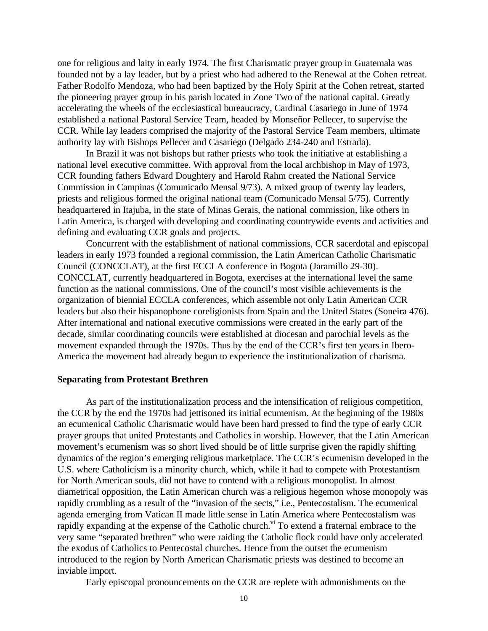one for religious and laity in early 1974. The first Charismatic prayer group in Guatemala was founded not by a lay leader, but by a priest who had adhered to the Renewal at the Cohen retreat. Father Rodolfo Mendoza, who had been baptized by the Holy Spirit at the Cohen retreat, started the pioneering prayer group in his parish located in Zone Two of the national capital. Greatly accelerating the wheels of the ecclesiastical bureaucracy, Cardinal Casariego in June of 1974 established a national Pastoral Service Team, headed by Monseñor Pellecer, to supervise the CCR. While lay leaders comprised the majority of the Pastoral Service Team members, ultimate authority lay with Bishops Pellecer and Casariego (Delgado 234-240 and Estrada).

In Brazil it was not bishops but rather priests who took the initiative at establishing a national level executive committee. With approval from the local archbishop in May of 1973, CCR founding fathers Edward Doughtery and Harold Rahm created the National Service Commission in Campinas (Comunicado Mensal 9/73). A mixed group of twenty lay leaders, priests and religious formed the original national team (Comunicado Mensal 5/75). Currently headquartered in Itajuba, in the state of Minas Gerais, the national commission, like others in Latin America, is charged with developing and coordinating countrywide events and activities and defining and evaluating CCR goals and projects.

Concurrent with the establishment of national commissions, CCR sacerdotal and episcopal leaders in early 1973 founded a regional commission, the Latin American Catholic Charismatic Council (CONCCLAT), at the first ECCLA conference in Bogota (Jaramillo 29-30). CONCCLAT, currently headquartered in Bogota, exercises at the international level the same function as the national commissions. One of the council's most visible achievements is the organization of biennial ECCLA conferences, which assemble not only Latin American CCR leaders but also their hispanophone coreligionists from Spain and the United States (Soneira 476). After international and national executive commissions were created in the early part of the decade, similar coordinating councils were established at diocesan and parochial levels as the movement expanded through the 1970s. Thus by the end of the CCR's first ten years in Ibero-America the movement had already begun to experience the institutionalization of charisma.

#### **Separating from Protestant Brethren**

As part of the institutionalization process and the intensification of religious competition, the CCR by the end the 1970s had jettisoned its initial ecumenism. At the beginning of the 1980s an ecumenical Catholic Charismatic would have been hard pressed to find the type of early CCR prayer groups that united Protestants and Catholics in worship. However, that the Latin American movement's ecumenism was so short lived should be of little surprise given the rapidly shifting dynamics of the region's emerging religious marketplace. The CCR's ecumenism developed in the U.S. where Catholicism is a minority church, which, while it had to compete with Protestantism for North American souls, did not have to contend with a religious monopolist. In almost diametrical opposition, the Latin American church was a religious hegemon whose monopoly was rapidly crumbling as a result of the "invasion of the sects," i.e., Pentecostalism. The ecumenical agenda emerging from Vatican II made little sense in Latin America where Pentecostalism was rapidly expanding at the expense of the Catholic church.<sup>vi</sup> To extend a fraternal embrace to the very same "separated brethren" who were raiding the Catholic flock could have only accelerated the exodus of Catholics to Pentecostal churches. Hence from the outset the ecumenism introduced to the region by North American Charismatic priests was destined to become an inviable import.

Early episcopal pronouncements on the CCR are replete with admonishments on the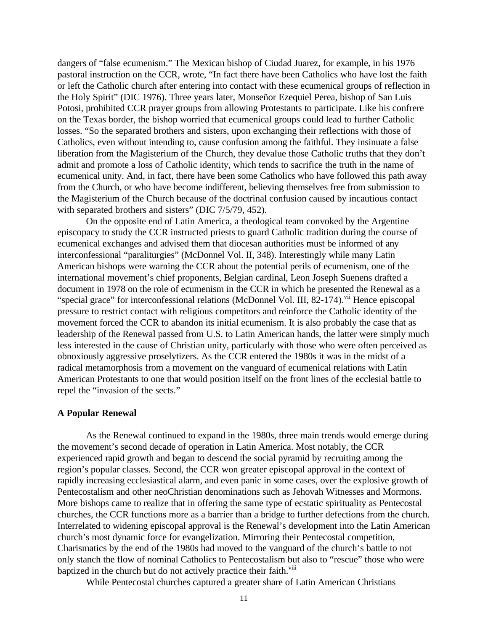dangers of "false ecumenism." The Mexican bishop of Ciudad Juarez, for example, in his 1976 pastoral instruction on the CCR, wrote, "In fact there have been Catholics who have lost the faith or left the Catholic church after entering into contact with these ecumenical groups of reflection in the Holy Spirit" (DIC 1976). Three years later, Monseñor Ezequiel Perea, bishop of San Luis Potosi, prohibited CCR prayer groups from allowing Protestants to participate. Like his confrere on the Texas border, the bishop worried that ecumenical groups could lead to further Catholic losses. "So the separated brothers and sisters, upon exchanging their reflections with those of Catholics, even without intending to, cause confusion among the faithful. They insinuate a false liberation from the Magisterium of the Church, they devalue those Catholic truths that they don't admit and promote a loss of Catholic identity, which tends to sacrifice the truth in the name of ecumenical unity. And, in fact, there have been some Catholics who have followed this path away from the Church, or who have become indifferent, believing themselves free from submission to the Magisterium of the Church because of the doctrinal confusion caused by incautious contact with separated brothers and sisters" (DIC 7/5/79, 452).

On the opposite end of Latin America, a theological team convoked by the Argentine episcopacy to study the CCR instructed priests to guard Catholic tradition during the course of ecumenical exchanges and advised them that diocesan authorities must be informed of any interconfessional "paraliturgies" (McDonnel Vol. II, 348). Interestingly while many Latin American bishops were warning the CCR about the potential perils of ecumenism, one of the international movement's chief proponents, Belgian cardinal, Leon Joseph Suenens drafted a document in 1978 on the role of ecumenism in the CCR in which he presented the Renewal as a "special grace" for interconfessional relations (McDonnel Vol. III, 82-174).<sup>vii</sup> Hence episcopal pressure to restrict contact with religious competitors and reinforce the Catholic identity of the movement forced the CCR to abandon its initial ecumenism. It is also probably the case that as leadership of the Renewal passed from U.S. to Latin American hands, the latter were simply much less interested in the cause of Christian unity, particularly with those who were often perceived as obnoxiously aggressive proselytizers. As the CCR entered the 1980s it was in the midst of a radical metamorphosis from a movement on the vanguard of ecumenical relations with Latin American Protestants to one that would position itself on the front lines of the ecclesial battle to repel the "invasion of the sects."

# **A Popular Renewal**

As the Renewal continued to expand in the 1980s, three main trends would emerge during the movement's second decade of operation in Latin America. Most notably, the CCR experienced rapid growth and began to descend the social pyramid by recruiting among the region's popular classes. Second, the CCR won greater episcopal approval in the context of rapidly increasing ecclesiastical alarm, and even panic in some cases, over the explosive growth of Pentecostalism and other neoChristian denominations such as Jehovah Witnesses and Mormons. More bishops came to realize that in offering the same type of ecstatic spirituality as Pentecostal churches, the CCR functions more as a barrier than a bridge to further defections from the church. Interrelated to widening episcopal approval is the Renewal's development into the Latin American church's most dynamic force for evangelization. Mirroring their Pentecostal competition, Charismatics by the end of the 1980s had moved to the vanguard of the church's battle to not only stanch the flow of nominal Catholics to Pentecostalism but also to "rescue" those who were baptized in the church but do not actively practice their faith.<sup>viii</sup>

While Pentecostal churches captured a greater share of Latin American Christians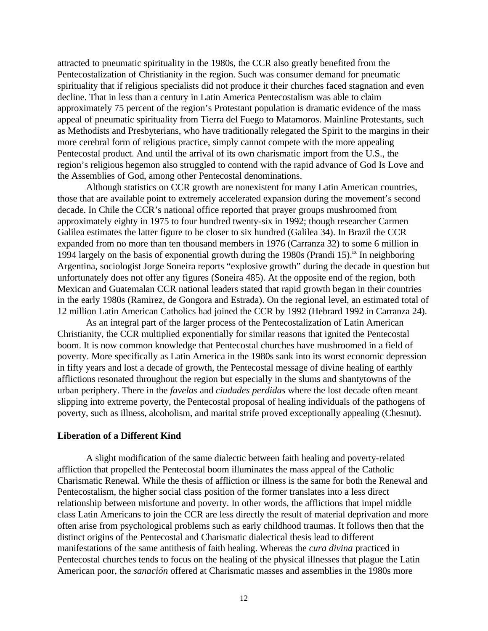attracted to pneumatic spirituality in the 1980s, the CCR also greatly benefited from the Pentecostalization of Christianity in the region. Such was consumer demand for pneumatic spirituality that if religious specialists did not produce it their churches faced stagnation and even decline. That in less than a century in Latin America Pentecostalism was able to claim approximately 75 percent of the region's Protestant population is dramatic evidence of the mass appeal of pneumatic spirituality from Tierra del Fuego to Matamoros. Mainline Protestants, such as Methodists and Presbyterians, who have traditionally relegated the Spirit to the margins in their more cerebral form of religious practice, simply cannot compete with the more appealing Pentecostal product. And until the arrival of its own charismatic import from the U.S., the region's religious hegemon also struggled to contend with the rapid advance of God Is Love and the Assemblies of God, among other Pentecostal denominations.

Although statistics on CCR growth are nonexistent for many Latin American countries, those that are available point to extremely accelerated expansion during the movement's second decade. In Chile the CCR's national office reported that prayer groups mushroomed from approximately eighty in 1975 to four hundred twenty-six in 1992; though researcher Carmen Galilea estimates the latter figure to be closer to six hundred (Galilea 34). In Brazil the CCR expanded from no more than ten thousand members in 1976 (Carranza 32) to some 6 million in 1994 largely on the basis of exponential growth during the 1980s (Prandi 15).<sup>ix</sup> In neighboring Argentina, sociologist Jorge Soneira reports "explosive growth" during the decade in question but unfortunately does not offer any figures (Soneira 485). At the opposite end of the region, both Mexican and Guatemalan CCR national leaders stated that rapid growth began in their countries in the early 1980s (Ramirez, de Gongora and Estrada). On the regional level, an estimated total of 12 million Latin American Catholics had joined the CCR by 1992 (Hebrard 1992 in Carranza 24).

As an integral part of the larger process of the Pentecostalization of Latin American Christianity, the CCR multiplied exponentially for similar reasons that ignited the Pentecostal boom. It is now common knowledge that Pentecostal churches have mushroomed in a field of poverty. More specifically as Latin America in the 1980s sank into its worst economic depression in fifty years and lost a decade of growth, the Pentecostal message of divine healing of earthly afflictions resonated throughout the region but especially in the slums and shantytowns of the urban periphery. There in the *favelas* and *ciudades perdidas* where the lost decade often meant slipping into extreme poverty, the Pentecostal proposal of healing individuals of the pathogens of poverty, such as illness, alcoholism, and marital strife proved exceptionally appealing (Chesnut).

# **Liberation of a Different Kind**

A slight modification of the same dialectic between faith healing and poverty-related affliction that propelled the Pentecostal boom illuminates the mass appeal of the Catholic Charismatic Renewal. While the thesis of affliction or illness is the same for both the Renewal and Pentecostalism, the higher social class position of the former translates into a less direct relationship between misfortune and poverty. In other words, the afflictions that impel middle class Latin Americans to join the CCR are less directly the result of material deprivation and more often arise from psychological problems such as early childhood traumas. It follows then that the distinct origins of the Pentecostal and Charismatic dialectical thesis lead to different manifestations of the same antithesis of faith healing. Whereas the *cura divina* practiced in Pentecostal churches tends to focus on the healing of the physical illnesses that plague the Latin American poor, the *sanación* offered at Charismatic masses and assemblies in the 1980s more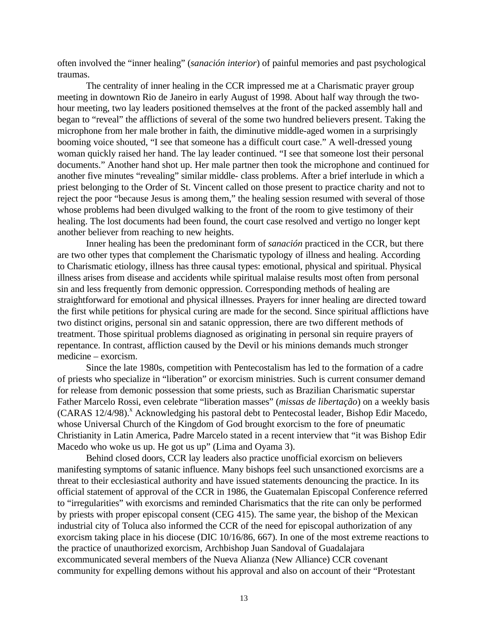often involved the "inner healing" (*sanación interior*) of painful memories and past psychological traumas.

The centrality of inner healing in the CCR impressed me at a Charismatic prayer group meeting in downtown Rio de Janeiro in early August of 1998. About half way through the twohour meeting, two lay leaders positioned themselves at the front of the packed assembly hall and began to "reveal" the afflictions of several of the some two hundred believers present. Taking the microphone from her male brother in faith, the diminutive middle-aged women in a surprisingly booming voice shouted, "I see that someone has a difficult court case." A well-dressed young woman quickly raised her hand. The lay leader continued. "I see that someone lost their personal documents." Another hand shot up. Her male partner then took the microphone and continued for another five minutes "revealing" similar middle- class problems. After a brief interlude in which a priest belonging to the Order of St. Vincent called on those present to practice charity and not to reject the poor "because Jesus is among them," the healing session resumed with several of those whose problems had been divulged walking to the front of the room to give testimony of their healing. The lost documents had been found, the court case resolved and vertigo no longer kept another believer from reaching to new heights.

Inner healing has been the predominant form of *sanación* practiced in the CCR, but there are two other types that complement the Charismatic typology of illness and healing. According to Charismatic etiology, illness has three causal types: emotional, physical and spiritual. Physical illness arises from disease and accidents while spiritual malaise results most often from personal sin and less frequently from demonic oppression. Corresponding methods of healing are straightforward for emotional and physical illnesses. Prayers for inner healing are directed toward the first while petitions for physical curing are made for the second. Since spiritual afflictions have two distinct origins, personal sin and satanic oppression, there are two different methods of treatment. Those spiritual problems diagnosed as originating in personal sin require prayers of repentance. In contrast, affliction caused by the Devil or his minions demands much stronger medicine – exorcism.

Since the late 1980s, competition with Pentecostalism has led to the formation of a cadre of priests who specialize in "liberation" or exorcism ministries. Such is current consumer demand for release from demonic possession that some priests, such as Brazilian Charismatic superstar Father Marcelo Rossi, even celebrate "liberation masses" (*missas de libertação*) on a weekly basis (CARAS 12/4/98).<sup>x</sup> Acknowledging his pastoral debt to Pentecostal leader, Bishop Edir Macedo, whose Universal Church of the Kingdom of God brought exorcism to the fore of pneumatic Christianity in Latin America, Padre Marcelo stated in a recent interview that "it was Bishop Edir Macedo who woke us up. He got us up" (Lima and Oyama 3).

Behind closed doors, CCR lay leaders also practice unofficial exorcism on believers manifesting symptoms of satanic influence. Many bishops feel such unsanctioned exorcisms are a threat to their ecclesiastical authority and have issued statements denouncing the practice. In its official statement of approval of the CCR in 1986, the Guatemalan Episcopal Conference referred to "irregularities" with exorcisms and reminded Charismatics that the rite can only be performed by priests with proper episcopal consent (CEG 415). The same year, the bishop of the Mexican industrial city of Toluca also informed the CCR of the need for episcopal authorization of any exorcism taking place in his diocese (DIC 10/16/86, 667). In one of the most extreme reactions to the practice of unauthorized exorcism, Archbishop Juan Sandoval of Guadalajara excommunicated several members of the Nueva Alianza (New Alliance) CCR covenant community for expelling demons without his approval and also on account of their "Protestant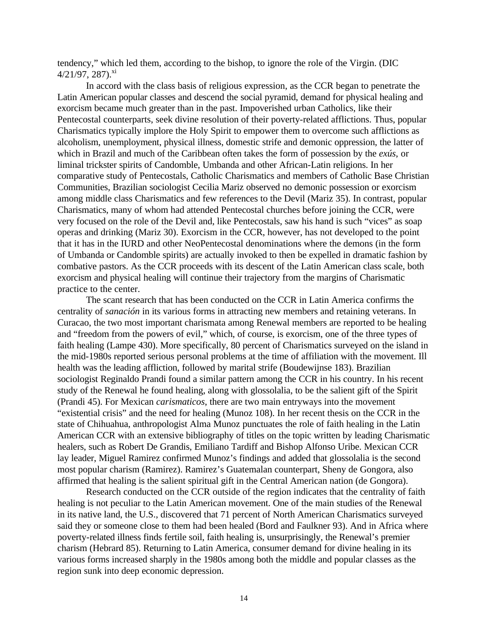tendency," which led them, according to the bishop, to ignore the role of the Virgin. (DIC  $4/21/97, 287.$ <sup>xi</sup>

In accord with the class basis of religious expression, as the CCR began to penetrate the Latin American popular classes and descend the social pyramid, demand for physical healing and exorcism became much greater than in the past. Impoverished urban Catholics, like their Pentecostal counterparts, seek divine resolution of their poverty-related afflictions. Thus, popular Charismatics typically implore the Holy Spirit to empower them to overcome such afflictions as alcoholism, unemployment, physical illness, domestic strife and demonic oppression, the latter of which in Brazil and much of the Caribbean often takes the form of possession by the *exús*, or liminal trickster spirits of Candomble, Umbanda and other African-Latin religions. In her comparative study of Pentecostals, Catholic Charismatics and members of Catholic Base Christian Communities, Brazilian sociologist Cecilia Mariz observed no demonic possession or exorcism among middle class Charismatics and few references to the Devil (Mariz 35). In contrast, popular Charismatics, many of whom had attended Pentecostal churches before joining the CCR, were very focused on the role of the Devil and, like Pentecostals, saw his hand is such "vices" as soap operas and drinking (Mariz 30). Exorcism in the CCR, however, has not developed to the point that it has in the IURD and other NeoPentecostal denominations where the demons (in the form of Umbanda or Candomble spirits) are actually invoked to then be expelled in dramatic fashion by combative pastors. As the CCR proceeds with its descent of the Latin American class scale, both exorcism and physical healing will continue their trajectory from the margins of Charismatic practice to the center.

The scant research that has been conducted on the CCR in Latin America confirms the centrality of *sanación* in its various forms in attracting new members and retaining veterans. In Curacao, the two most important charismata among Renewal members are reported to be healing and "freedom from the powers of evil," which, of course, is exorcism, one of the three types of faith healing (Lampe 430). More specifically, 80 percent of Charismatics surveyed on the island in the mid-1980s reported serious personal problems at the time of affiliation with the movement. Ill health was the leading affliction, followed by marital strife (Boudewijnse 183). Brazilian sociologist Reginaldo Prandi found a similar pattern among the CCR in his country. In his recent study of the Renewal he found healing, along with glossolalia, to be the salient gift of the Spirit (Prandi 45). For Mexican *carismaticos*, there are two main entryways into the movement "existential crisis" and the need for healing (Munoz 108). In her recent thesis on the CCR in the state of Chihuahua, anthropologist Alma Munoz punctuates the role of faith healing in the Latin American CCR with an extensive bibliography of titles on the topic written by leading Charismatic healers, such as Robert De Grandis, Emiliano Tardiff and Bishop Alfonso Uribe. Mexican CCR lay leader, Miguel Ramirez confirmed Munoz's findings and added that glossolalia is the second most popular charism (Ramirez). Ramirez's Guatemalan counterpart, Sheny de Gongora, also affirmed that healing is the salient spiritual gift in the Central American nation (de Gongora).

Research conducted on the CCR outside of the region indicates that the centrality of faith healing is not peculiar to the Latin American movement. One of the main studies of the Renewal in its native land, the U.S., discovered that 71 percent of North American Charismatics surveyed said they or someone close to them had been healed (Bord and Faulkner 93). And in Africa where poverty-related illness finds fertile soil, faith healing is, unsurprisingly, the Renewal's premier charism (Hebrard 85). Returning to Latin America, consumer demand for divine healing in its various forms increased sharply in the 1980s among both the middle and popular classes as the region sunk into deep economic depression.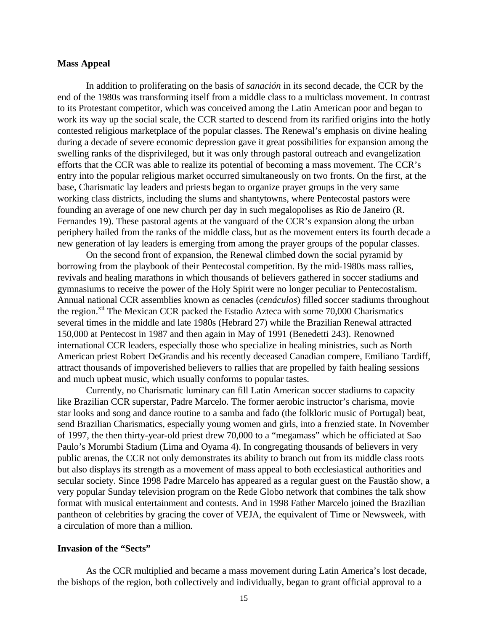#### **Mass Appeal**

In addition to proliferating on the basis of *sanación* in its second decade, the CCR by the end of the 1980s was transforming itself from a middle class to a multiclass movement. In contrast to its Protestant competitor, which was conceived among the Latin American poor and began to work its way up the social scale, the CCR started to descend from its rarified origins into the hotly contested religious marketplace of the popular classes. The Renewal's emphasis on divine healing during a decade of severe economic depression gave it great possibilities for expansion among the swelling ranks of the disprivileged, but it was only through pastoral outreach and evangelization efforts that the CCR was able to realize its potential of becoming a mass movement. The CCR's entry into the popular religious market occurred simultaneously on two fronts. On the first, at the base, Charismatic lay leaders and priests began to organize prayer groups in the very same working class districts, including the slums and shantytowns, where Pentecostal pastors were founding an average of one new church per day in such megalopolises as Rio de Janeiro (R. Fernandes 19). These pastoral agents at the vanguard of the CCR's expansion along the urban periphery hailed from the ranks of the middle class, but as the movement enters its fourth decade a new generation of lay leaders is emerging from among the prayer groups of the popular classes.

On the second front of expansion, the Renewal climbed down the social pyramid by borrowing from the playbook of their Pentecostal competition. By the mid-1980s mass rallies, revivals and healing marathons in which thousands of believers gathered in soccer stadiums and gymnasiums to receive the power of the Holy Spirit were no longer peculiar to Pentecostalism. Annual national CCR assemblies known as cenacles (*cenáculos*) filled soccer stadiums throughout the region.<sup>xii</sup> The Mexican CCR packed the Estadio Azteca with some 70,000 Charismatics several times in the middle and late 1980s (Hebrard 27) while the Brazilian Renewal attracted 150,000 at Pentecost in 1987 and then again in May of 1991 (Benedetti 243). Renowned international CCR leaders, especially those who specialize in healing ministries, such as North American priest Robert DeGrandis and his recently deceased Canadian compere, Emiliano Tardiff, attract thousands of impoverished believers to rallies that are propelled by faith healing sessions and much upbeat music, which usually conforms to popular tastes.

Currently, no Charismatic luminary can fill Latin American soccer stadiums to capacity like Brazilian CCR superstar, Padre Marcelo. The former aerobic instructor's charisma, movie star looks and song and dance routine to a samba and fado (the folkloric music of Portugal) beat, send Brazilian Charismatics, especially young women and girls, into a frenzied state. In November of 1997, the then thirty-year-old priest drew 70,000 to a "megamass" which he officiated at Sao Paulo's Morumbi Stadium (Lima and Oyama 4). In congregating thousands of believers in very public arenas, the CCR not only demonstrates its ability to branch out from its middle class roots but also displays its strength as a movement of mass appeal to both ecclesiastical authorities and secular society. Since 1998 Padre Marcelo has appeared as a regular guest on the Faustão show, a very popular Sunday television program on the Rede Globo network that combines the talk show format with musical entertainment and contests. And in 1998 Father Marcelo joined the Brazilian pantheon of celebrities by gracing the cover of VEJA, the equivalent of Time or Newsweek, with a circulation of more than a million.

# **Invasion of the "Sects"**

As the CCR multiplied and became a mass movement during Latin America's lost decade, the bishops of the region, both collectively and individually, began to grant official approval to a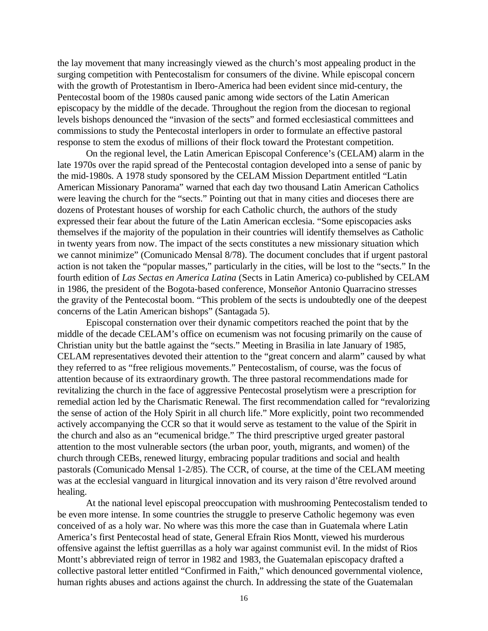the lay movement that many increasingly viewed as the church's most appealing product in the surging competition with Pentecostalism for consumers of the divine. While episcopal concern with the growth of Protestantism in Ibero-America had been evident since mid-century, the Pentecostal boom of the 1980s caused panic among wide sectors of the Latin American episcopacy by the middle of the decade. Throughout the region from the diocesan to regional levels bishops denounced the "invasion of the sects" and formed ecclesiastical committees and commissions to study the Pentecostal interlopers in order to formulate an effective pastoral response to stem the exodus of millions of their flock toward the Protestant competition.

On the regional level, the Latin American Episcopal Conference's (CELAM) alarm in the late 1970s over the rapid spread of the Pentecostal contagion developed into a sense of panic by the mid-1980s. A 1978 study sponsored by the CELAM Mission Department entitled "Latin American Missionary Panorama" warned that each day two thousand Latin American Catholics were leaving the church for the "sects." Pointing out that in many cities and dioceses there are dozens of Protestant houses of worship for each Catholic church, the authors of the study expressed their fear about the future of the Latin American ecclesia. "Some episcopacies asks themselves if the majority of the population in their countries will identify themselves as Catholic in twenty years from now. The impact of the sects constitutes a new missionary situation which we cannot minimize" (Comunicado Mensal 8/78). The document concludes that if urgent pastoral action is not taken the "popular masses," particularly in the cities, will be lost to the "sects." In the fourth edition of *Las Sectas en America Latina* (Sects in Latin America) co-published by CELAM in 1986, the president of the Bogota-based conference, Monseñor Antonio Quarracino stresses the gravity of the Pentecostal boom. "This problem of the sects is undoubtedly one of the deepest concerns of the Latin American bishops" (Santagada 5).

Episcopal consternation over their dynamic competitors reached the point that by the middle of the decade CELAM's office on ecumenism was not focusing primarily on the cause of Christian unity but the battle against the "sects." Meeting in Brasilia in late January of 1985, CELAM representatives devoted their attention to the "great concern and alarm" caused by what they referred to as "free religious movements." Pentecostalism, of course, was the focus of attention because of its extraordinary growth. The three pastoral recommendations made for revitalizing the church in the face of aggressive Pentecostal proselytism were a prescription for remedial action led by the Charismatic Renewal. The first recommendation called for "revalorizing the sense of action of the Holy Spirit in all church life." More explicitly, point two recommended actively accompanying the CCR so that it would serve as testament to the value of the Spirit in the church and also as an "ecumenical bridge." The third prescriptive urged greater pastoral attention to the most vulnerable sectors (the urban poor, youth, migrants, and women) of the church through CEBs, renewed liturgy, embracing popular traditions and social and health pastorals (Comunicado Mensal 1-2/85). The CCR, of course, at the time of the CELAM meeting was at the ecclesial vanguard in liturgical innovation and its very raison d'être revolved around healing.

At the national level episcopal preoccupation with mushrooming Pentecostalism tended to be even more intense. In some countries the struggle to preserve Catholic hegemony was even conceived of as a holy war. No where was this more the case than in Guatemala where Latin America's first Pentecostal head of state, General Efrain Rios Montt, viewed his murderous offensive against the leftist guerrillas as a holy war against communist evil. In the midst of Rios Montt's abbreviated reign of terror in 1982 and 1983, the Guatemalan episcopacy drafted a collective pastoral letter entitled "Confirmed in Faith," which denounced governmental violence, human rights abuses and actions against the church. In addressing the state of the Guatemalan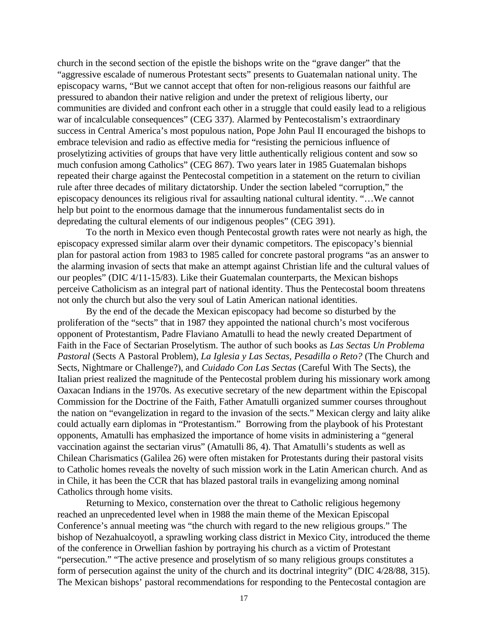church in the second section of the epistle the bishops write on the "grave danger" that the "aggressive escalade of numerous Protestant sects" presents to Guatemalan national unity. The episcopacy warns, "But we cannot accept that often for non-religious reasons our faithful are pressured to abandon their native religion and under the pretext of religious liberty, our communities are divided and confront each other in a struggle that could easily lead to a religious war of incalculable consequences" (CEG 337). Alarmed by Pentecostalism's extraordinary success in Central America's most populous nation, Pope John Paul II encouraged the bishops to embrace television and radio as effective media for "resisting the pernicious influence of proselytizing activities of groups that have very little authentically religious content and sow so much confusion among Catholics" (CEG 867). Two years later in 1985 Guatemalan bishops repeated their charge against the Pentecostal competition in a statement on the return to civilian rule after three decades of military dictatorship. Under the section labeled "corruption," the episcopacy denounces its religious rival for assaulting national cultural identity. "…We cannot help but point to the enormous damage that the innumerous fundamentalist sects do in depredating the cultural elements of our indigenous peoples" (CEG 391).

To the north in Mexico even though Pentecostal growth rates were not nearly as high, the episcopacy expressed similar alarm over their dynamic competitors. The episcopacy's biennial plan for pastoral action from 1983 to 1985 called for concrete pastoral programs "as an answer to the alarming invasion of sects that make an attempt against Christian life and the cultural values of our peoples" (DIC 4/11-15/83). Like their Guatemalan counterparts, the Mexican bishops perceive Catholicism as an integral part of national identity. Thus the Pentecostal boom threatens not only the church but also the very soul of Latin American national identities.

By the end of the decade the Mexican episcopacy had become so disturbed by the proliferation of the "sects" that in 1987 they appointed the national church's most vociferous opponent of Protestantism, Padre Flaviano Amatulli to head the newly created Department of Faith in the Face of Sectarian Proselytism. The author of such books as *Las Sectas Un Problema Pastoral* (Sects A Pastoral Problem), *La Iglesia y Las Sectas, Pesadilla o Reto?* (The Church and Sects, Nightmare or Challenge?), and *Cuidado Con Las Sectas* (Careful With The Sects), the Italian priest realized the magnitude of the Pentecostal problem during his missionary work among Oaxacan Indians in the 1970s. As executive secretary of the new department within the Episcopal Commission for the Doctrine of the Faith, Father Amatulli organized summer courses throughout the nation on "evangelization in regard to the invasion of the sects." Mexican clergy and laity alike could actually earn diplomas in "Protestantism." Borrowing from the playbook of his Protestant opponents, Amatulli has emphasized the importance of home visits in administering a "general vaccination against the sectarian virus" (Amatulli 86, 4). That Amatulli's students as well as Chilean Charismatics (Galilea 26) were often mistaken for Protestants during their pastoral visits to Catholic homes reveals the novelty of such mission work in the Latin American church. And as in Chile, it has been the CCR that has blazed pastoral trails in evangelizing among nominal Catholics through home visits.

Returning to Mexico, consternation over the threat to Catholic religious hegemony reached an unprecedented level when in 1988 the main theme of the Mexican Episcopal Conference's annual meeting was "the church with regard to the new religious groups." The bishop of Nezahualcoyotl, a sprawling working class district in Mexico City, introduced the theme of the conference in Orwellian fashion by portraying his church as a victim of Protestant "persecution." "The active presence and proselytism of so many religious groups constitutes a form of persecution against the unity of the church and its doctrinal integrity" (DIC 4/28/88, 315). The Mexican bishops' pastoral recommendations for responding to the Pentecostal contagion are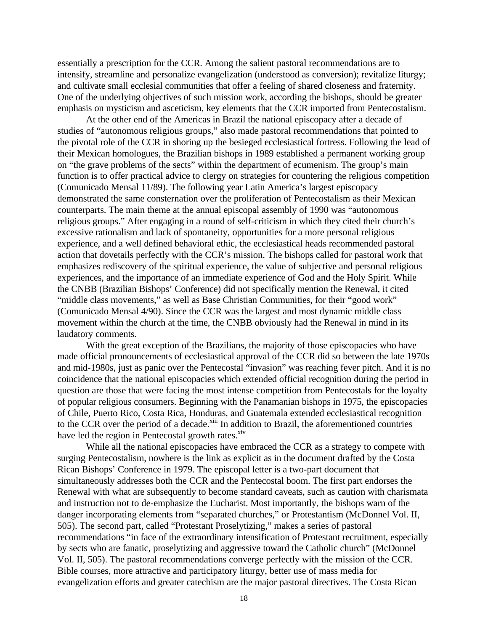essentially a prescription for the CCR. Among the salient pastoral recommendations are to intensify, streamline and personalize evangelization (understood as conversion); revitalize liturgy; and cultivate small ecclesial communities that offer a feeling of shared closeness and fraternity. One of the underlying objectives of such mission work, according the bishops, should be greater emphasis on mysticism and asceticism, key elements that the CCR imported from Pentecostalism.

At the other end of the Americas in Brazil the national episcopacy after a decade of studies of "autonomous religious groups," also made pastoral recommendations that pointed to the pivotal role of the CCR in shoring up the besieged ecclesiastical fortress. Following the lead of their Mexican homologues, the Brazilian bishops in 1989 established a permanent working group on "the grave problems of the sects" within the department of ecumenism. The group's main function is to offer practical advice to clergy on strategies for countering the religious competition (Comunicado Mensal 11/89). The following year Latin America's largest episcopacy demonstrated the same consternation over the proliferation of Pentecostalism as their Mexican counterparts. The main theme at the annual episcopal assembly of 1990 was "autonomous religious groups." After engaging in a round of self-criticism in which they cited their church's excessive rationalism and lack of spontaneity, opportunities for a more personal religious experience, and a well defined behavioral ethic, the ecclesiastical heads recommended pastoral action that dovetails perfectly with the CCR's mission. The bishops called for pastoral work that emphasizes rediscovery of the spiritual experience, the value of subjective and personal religious experiences, and the importance of an immediate experience of God and the Holy Spirit. While the CNBB (Brazilian Bishops' Conference) did not specifically mention the Renewal, it cited "middle class movements," as well as Base Christian Communities, for their "good work" (Comunicado Mensal 4/90). Since the CCR was the largest and most dynamic middle class movement within the church at the time, the CNBB obviously had the Renewal in mind in its laudatory comments.

With the great exception of the Brazilians, the majority of those episcopacies who have made official pronouncements of ecclesiastical approval of the CCR did so between the late 1970s and mid-1980s, just as panic over the Pentecostal "invasion" was reaching fever pitch. And it is no coincidence that the national episcopacies which extended official recognition during the period in question are those that were facing the most intense competition from Pentecostals for the loyalty of popular religious consumers. Beginning with the Panamanian bishops in 1975, the episcopacies of Chile, Puerto Rico, Costa Rica, Honduras, and Guatemala extended ecclesiastical recognition to the CCR over the period of a decade.<sup>xiii</sup> In addition to Brazil, the aforementioned countries have led the region in Pentecostal growth rates. $\frac{x^i}{i}$ 

While all the national episcopacies have embraced the CCR as a strategy to compete with surging Pentecostalism, nowhere is the link as explicit as in the document drafted by the Costa Rican Bishops' Conference in 1979. The episcopal letter is a two-part document that simultaneously addresses both the CCR and the Pentecostal boom. The first part endorses the Renewal with what are subsequently to become standard caveats, such as caution with charismata and instruction not to de-emphasize the Eucharist. Most importantly, the bishops warn of the danger incorporating elements from "separated churches," or Protestantism (McDonnel Vol. II, 505). The second part, called "Protestant Proselytizing," makes a series of pastoral recommendations "in face of the extraordinary intensification of Protestant recruitment, especially by sects who are fanatic, proselytizing and aggressive toward the Catholic church" (McDonnel Vol. II, 505). The pastoral recommendations converge perfectly with the mission of the CCR. Bible courses, more attractive and participatory liturgy, better use of mass media for evangelization efforts and greater catechism are the major pastoral directives. The Costa Rican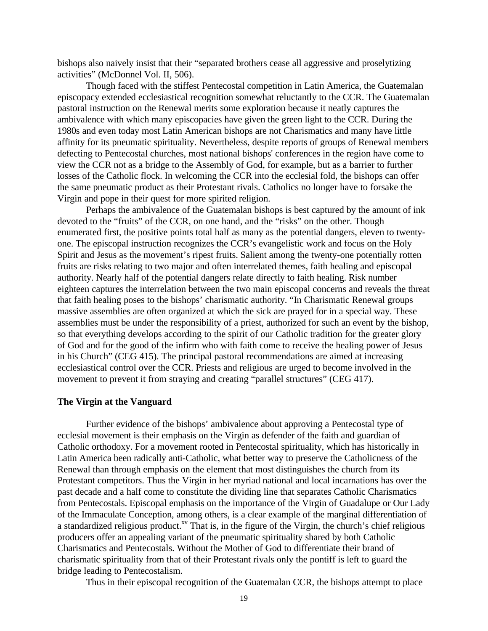bishops also naively insist that their "separated brothers cease all aggressive and proselytizing activities" (McDonnel Vol. II, 506).

Though faced with the stiffest Pentecostal competition in Latin America, the Guatemalan episcopacy extended ecclesiastical recognition somewhat reluctantly to the CCR. The Guatemalan pastoral instruction on the Renewal merits some exploration because it neatly captures the ambivalence with which many episcopacies have given the green light to the CCR. During the 1980s and even today most Latin American bishops are not Charismatics and many have little affinity for its pneumatic spirituality. Nevertheless, despite reports of groups of Renewal members defecting to Pentecostal churches, most national bishops' conferences in the region have come to view the CCR not as a bridge to the Assembly of God, for example, but as a barrier to further losses of the Catholic flock. In welcoming the CCR into the ecclesial fold, the bishops can offer the same pneumatic product as their Protestant rivals. Catholics no longer have to forsake the Virgin and pope in their quest for more spirited religion.

Perhaps the ambivalence of the Guatemalan bishops is best captured by the amount of ink devoted to the "fruits" of the CCR, on one hand, and the "risks" on the other. Though enumerated first, the positive points total half as many as the potential dangers, eleven to twentyone. The episcopal instruction recognizes the CCR's evangelistic work and focus on the Holy Spirit and Jesus as the movement's ripest fruits. Salient among the twenty-one potentially rotten fruits are risks relating to two major and often interrelated themes, faith healing and episcopal authority. Nearly half of the potential dangers relate directly to faith healing. Risk number eighteen captures the interrelation between the two main episcopal concerns and reveals the threat that faith healing poses to the bishops' charismatic authority. "In Charismatic Renewal groups massive assemblies are often organized at which the sick are prayed for in a special way. These assemblies must be under the responsibility of a priest, authorized for such an event by the bishop, so that everything develops according to the spirit of our Catholic tradition for the greater glory of God and for the good of the infirm who with faith come to receive the healing power of Jesus in his Church" (CEG 415). The principal pastoral recommendations are aimed at increasing ecclesiastical control over the CCR. Priests and religious are urged to become involved in the movement to prevent it from straying and creating "parallel structures" (CEG 417).

#### **The Virgin at the Vanguard**

Further evidence of the bishops' ambivalence about approving a Pentecostal type of ecclesial movement is their emphasis on the Virgin as defender of the faith and guardian of Catholic orthodoxy. For a movement rooted in Pentecostal spirituality, which has historically in Latin America been radically anti-Catholic, what better way to preserve the Catholicness of the Renewal than through emphasis on the element that most distinguishes the church from its Protestant competitors. Thus the Virgin in her myriad national and local incarnations has over the past decade and a half come to constitute the dividing line that separates Catholic Charismatics from Pentecostals. Episcopal emphasis on the importance of the Virgin of Guadalupe or Our Lady of the Immaculate Conception, among others, is a clear example of the marginal differentiation of a standardized religious product.<sup>xv</sup> That is, in the figure of the Virgin, the church's chief religious producers offer an appealing variant of the pneumatic spirituality shared by both Catholic Charismatics and Pentecostals. Without the Mother of God to differentiate their brand of charismatic spirituality from that of their Protestant rivals only the pontiff is left to guard the bridge leading to Pentecostalism.

Thus in their episcopal recognition of the Guatemalan CCR, the bishops attempt to place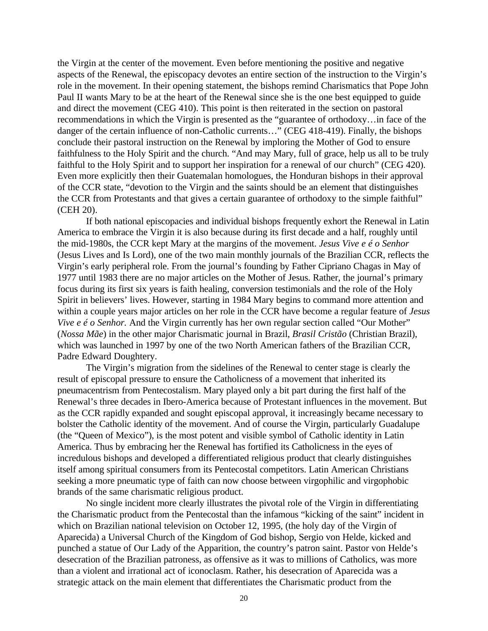the Virgin at the center of the movement. Even before mentioning the positive and negative aspects of the Renewal, the episcopacy devotes an entire section of the instruction to the Virgin's role in the movement. In their opening statement, the bishops remind Charismatics that Pope John Paul II wants Mary to be at the heart of the Renewal since she is the one best equipped to guide and direct the movement (CEG 410). This point is then reiterated in the section on pastoral recommendations in which the Virgin is presented as the "guarantee of orthodoxy…in face of the danger of the certain influence of non-Catholic currents…" (CEG 418-419). Finally, the bishops conclude their pastoral instruction on the Renewal by imploring the Mother of God to ensure faithfulness to the Holy Spirit and the church. "And may Mary, full of grace, help us all to be truly faithful to the Holy Spirit and to support her inspiration for a renewal of our church" (CEG 420). Even more explicitly then their Guatemalan homologues, the Honduran bishops in their approval of the CCR state, "devotion to the Virgin and the saints should be an element that distinguishes the CCR from Protestants and that gives a certain guarantee of orthodoxy to the simple faithful" (CEH 20).

If both national episcopacies and individual bishops frequently exhort the Renewal in Latin America to embrace the Virgin it is also because during its first decade and a half, roughly until the mid-1980s, the CCR kept Mary at the margins of the movement. *Jesus Vive e é o Senhor* (Jesus Lives and Is Lord), one of the two main monthly journals of the Brazilian CCR, reflects the Virgin's early peripheral role. From the journal's founding by Father Cipriano Chagas in May of 1977 until 1983 there are no major articles on the Mother of Jesus. Rather, the journal's primary focus during its first six years is faith healing, conversion testimonials and the role of the Holy Spirit in believers' lives. However, starting in 1984 Mary begins to command more attention and within a couple years major articles on her role in the CCR have become a regular feature of *Jesus Vive e é o Senhor.* And the Virgin currently has her own regular section called "Our Mother" (*Nossa Mãe*) in the other major Charismatic journal in Brazil, *Brasil Cristão* (Christian Brazil), which was launched in 1997 by one of the two North American fathers of the Brazilian CCR, Padre Edward Doughtery.

The Virgin's migration from the sidelines of the Renewal to center stage is clearly the result of episcopal pressure to ensure the Catholicness of a movement that inherited its pneumacentrism from Pentecostalism. Mary played only a bit part during the first half of the Renewal's three decades in Ibero-America because of Protestant influences in the movement. But as the CCR rapidly expanded and sought episcopal approval, it increasingly became necessary to bolster the Catholic identity of the movement. And of course the Virgin, particularly Guadalupe (the "Queen of Mexico"), is the most potent and visible symbol of Catholic identity in Latin America. Thus by embracing her the Renewal has fortified its Catholicness in the eyes of incredulous bishops and developed a differentiated religious product that clearly distinguishes itself among spiritual consumers from its Pentecostal competitors. Latin American Christians seeking a more pneumatic type of faith can now choose between virgophilic and virgophobic brands of the same charismatic religious product.

No single incident more clearly illustrates the pivotal role of the Virgin in differentiating the Charismatic product from the Pentecostal than the infamous "kicking of the saint" incident in which on Brazilian national television on October 12, 1995, (the holy day of the Virgin of Aparecida) a Universal Church of the Kingdom of God bishop, Sergio von Helde, kicked and punched a statue of Our Lady of the Apparition, the country's patron saint. Pastor von Helde's desecration of the Brazilian patroness, as offensive as it was to millions of Catholics, was more than a violent and irrational act of iconoclasm. Rather, his desecration of Aparecida was a strategic attack on the main element that differentiates the Charismatic product from the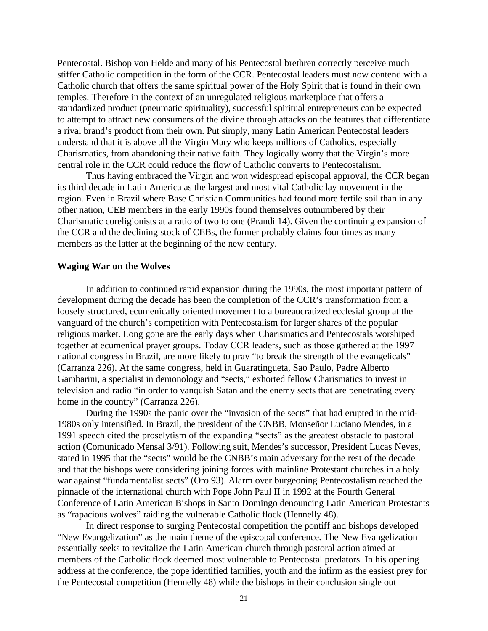Pentecostal. Bishop von Helde and many of his Pentecostal brethren correctly perceive much stiffer Catholic competition in the form of the CCR. Pentecostal leaders must now contend with a Catholic church that offers the same spiritual power of the Holy Spirit that is found in their own temples. Therefore in the context of an unregulated religious marketplace that offers a standardized product (pneumatic spirituality), successful spiritual entrepreneurs can be expected to attempt to attract new consumers of the divine through attacks on the features that differentiate a rival brand's product from their own. Put simply, many Latin American Pentecostal leaders understand that it is above all the Virgin Mary who keeps millions of Catholics, especially Charismatics, from abandoning their native faith. They logically worry that the Virgin's more central role in the CCR could reduce the flow of Catholic converts to Pentecostalism.

Thus having embraced the Virgin and won widespread episcopal approval, the CCR began its third decade in Latin America as the largest and most vital Catholic lay movement in the region. Even in Brazil where Base Christian Communities had found more fertile soil than in any other nation, CEB members in the early 1990s found themselves outnumbered by their Charismatic coreligionists at a ratio of two to one (Prandi 14). Given the continuing expansion of the CCR and the declining stock of CEBs, the former probably claims four times as many members as the latter at the beginning of the new century.

#### **Waging War on the Wolves**

In addition to continued rapid expansion during the 1990s, the most important pattern of development during the decade has been the completion of the CCR's transformation from a loosely structured, ecumenically oriented movement to a bureaucratized ecclesial group at the vanguard of the church's competition with Pentecostalism for larger shares of the popular religious market. Long gone are the early days when Charismatics and Pentecostals worshiped together at ecumenical prayer groups. Today CCR leaders, such as those gathered at the 1997 national congress in Brazil, are more likely to pray "to break the strength of the evangelicals" (Carranza 226). At the same congress, held in Guaratingueta, Sao Paulo, Padre Alberto Gambarini, a specialist in demonology and "sects," exhorted fellow Charismatics to invest in television and radio "in order to vanquish Satan and the enemy sects that are penetrating every home in the country" (Carranza 226).

During the 1990s the panic over the "invasion of the sects" that had erupted in the mid-1980s only intensified. In Brazil, the president of the CNBB, Monseñor Luciano Mendes, in a 1991 speech cited the proselytism of the expanding "sects" as the greatest obstacle to pastoral action (Comunicado Mensal 3/91). Following suit, Mendes's successor, President Lucas Neves, stated in 1995 that the "sects" would be the CNBB's main adversary for the rest of the decade and that the bishops were considering joining forces with mainline Protestant churches in a holy war against "fundamentalist sects" (Oro 93). Alarm over burgeoning Pentecostalism reached the pinnacle of the international church with Pope John Paul II in 1992 at the Fourth General Conference of Latin American Bishops in Santo Domingo denouncing Latin American Protestants as "rapacious wolves" raiding the vulnerable Catholic flock (Hennelly 48).

In direct response to surging Pentecostal competition the pontiff and bishops developed "New Evangelization" as the main theme of the episcopal conference. The New Evangelization essentially seeks to revitalize the Latin American church through pastoral action aimed at members of the Catholic flock deemed most vulnerable to Pentecostal predators. In his opening address at the conference, the pope identified families, youth and the infirm as the easiest prey for the Pentecostal competition (Hennelly 48) while the bishops in their conclusion single out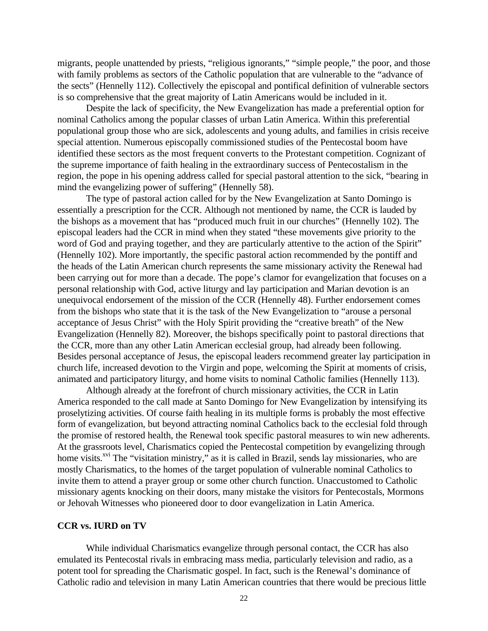migrants, people unattended by priests, "religious ignorants," "simple people," the poor, and those with family problems as sectors of the Catholic population that are vulnerable to the "advance of the sects" (Hennelly 112). Collectively the episcopal and pontifical definition of vulnerable sectors is so comprehensive that the great majority of Latin Americans would be included in it.

Despite the lack of specificity, the New Evangelization has made a preferential option for nominal Catholics among the popular classes of urban Latin America. Within this preferential populational group those who are sick, adolescents and young adults, and families in crisis receive special attention. Numerous episcopally commissioned studies of the Pentecostal boom have identified these sectors as the most frequent converts to the Protestant competition. Cognizant of the supreme importance of faith healing in the extraordinary success of Pentecostalism in the region, the pope in his opening address called for special pastoral attention to the sick, "bearing in mind the evangelizing power of suffering" (Hennelly 58).

The type of pastoral action called for by the New Evangelization at Santo Domingo is essentially a prescription for the CCR. Although not mentioned by name, the CCR is lauded by the bishops as a movement that has "produced much fruit in our churches" (Hennelly 102). The episcopal leaders had the CCR in mind when they stated "these movements give priority to the word of God and praying together, and they are particularly attentive to the action of the Spirit" (Hennelly 102). More importantly, the specific pastoral action recommended by the pontiff and the heads of the Latin American church represents the same missionary activity the Renewal had been carrying out for more than a decade. The pope's clamor for evangelization that focuses on a personal relationship with God, active liturgy and lay participation and Marian devotion is an unequivocal endorsement of the mission of the CCR (Hennelly 48). Further endorsement comes from the bishops who state that it is the task of the New Evangelization to "arouse a personal acceptance of Jesus Christ" with the Holy Spirit providing the "creative breath" of the New Evangelization (Hennelly 82). Moreover, the bishops specifically point to pastoral directions that the CCR, more than any other Latin American ecclesial group, had already been following. Besides personal acceptance of Jesus, the episcopal leaders recommend greater lay participation in church life, increased devotion to the Virgin and pope, welcoming the Spirit at moments of crisis, animated and participatory liturgy, and home visits to nominal Catholic families (Hennelly 113).

Although already at the forefront of church missionary activities, the CCR in Latin America responded to the call made at Santo Domingo for New Evangelization by intensifying its proselytizing activities. Of course faith healing in its multiple forms is probably the most effective form of evangelization, but beyond attracting nominal Catholics back to the ecclesial fold through the promise of restored health, the Renewal took specific pastoral measures to win new adherents. At the grassroots level, Charismatics copied the Pentecostal competition by evangelizing through home visits.<sup>xvi</sup> The "visitation ministry," as it is called in Brazil, sends lay missionaries, who are mostly Charismatics, to the homes of the target population of vulnerable nominal Catholics to invite them to attend a prayer group or some other church function. Unaccustomed to Catholic missionary agents knocking on their doors, many mistake the visitors for Pentecostals, Mormons or Jehovah Witnesses who pioneered door to door evangelization in Latin America.

# **CCR vs. IURD on TV**

While individual Charismatics evangelize through personal contact, the CCR has also emulated its Pentecostal rivals in embracing mass media, particularly television and radio, as a potent tool for spreading the Charismatic gospel. In fact, such is the Renewal's dominance of Catholic radio and television in many Latin American countries that there would be precious little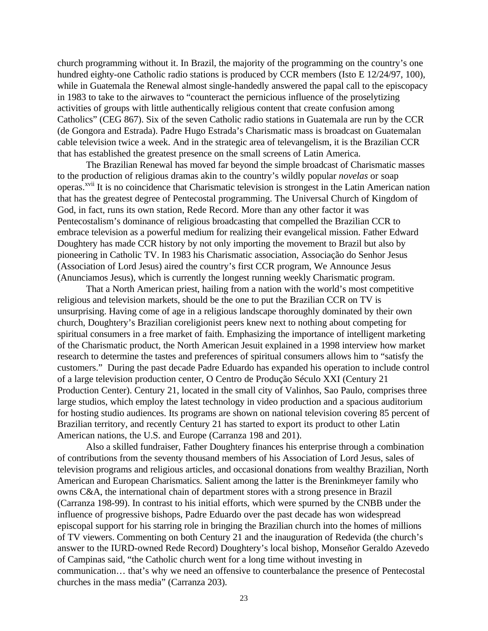church programming without it. In Brazil, the majority of the programming on the country's one hundred eighty-one Catholic radio stations is produced by CCR members (Isto E 12/24/97, 100), while in Guatemala the Renewal almost single-handedly answered the papal call to the episcopacy in 1983 to take to the airwaves to "counteract the pernicious influence of the proselytizing activities of groups with little authentically religious content that create confusion among Catholics" (CEG 867). Six of the seven Catholic radio stations in Guatemala are run by the CCR (de Gongora and Estrada). Padre Hugo Estrada's Charismatic mass is broadcast on Guatemalan cable television twice a week. And in the strategic area of televangelism, it is the Brazilian CCR that has established the greatest presence on the small screens of Latin America.

The Brazilian Renewal has moved far beyond the simple broadcast of Charismatic masses to the production of religious dramas akin to the country's wildly popular *novelas* or soap operas.<sup>xvii</sup> It is no coincidence that Charismatic television is strongest in the Latin American nation that has the greatest degree of Pentecostal programming. The Universal Church of Kingdom of God, in fact, runs its own station, Rede Record. More than any other factor it was Pentecostalism's dominance of religious broadcasting that compelled the Brazilian CCR to embrace television as a powerful medium for realizing their evangelical mission. Father Edward Doughtery has made CCR history by not only importing the movement to Brazil but also by pioneering in Catholic TV. In 1983 his Charismatic association, Associação do Senhor Jesus (Association of Lord Jesus) aired the country's first CCR program, We Announce Jesus (Anunciamos Jesus), which is currently the longest running weekly Charismatic program.

That a North American priest, hailing from a nation with the world's most competitive religious and television markets, should be the one to put the Brazilian CCR on TV is unsurprising. Having come of age in a religious landscape thoroughly dominated by their own church, Doughtery's Brazilian coreligionist peers knew next to nothing about competing for spiritual consumers in a free market of faith. Emphasizing the importance of intelligent marketing of the Charismatic product, the North American Jesuit explained in a 1998 interview how market research to determine the tastes and preferences of spiritual consumers allows him to "satisfy the customers." During the past decade Padre Eduardo has expanded his operation to include control of a large television production center, O Centro de Produção Século XXI (Century 21 Production Center). Century 21, located in the small city of Valinhos, Sao Paulo, comprises three large studios, which employ the latest technology in video production and a spacious auditorium for hosting studio audiences. Its programs are shown on national television covering 85 percent of Brazilian territory, and recently Century 21 has started to export its product to other Latin American nations, the U.S. and Europe (Carranza 198 and 201).

Also a skilled fundraiser, Father Doughtery finances his enterprise through a combination of contributions from the seventy thousand members of his Association of Lord Jesus, sales of television programs and religious articles, and occasional donations from wealthy Brazilian, North American and European Charismatics. Salient among the latter is the Breninkmeyer family who owns C&A, the international chain of department stores with a strong presence in Brazil (Carranza 198-99). In contrast to his initial efforts, which were spurned by the CNBB under the influence of progressive bishops, Padre Eduardo over the past decade has won widespread episcopal support for his starring role in bringing the Brazilian church into the homes of millions of TV viewers. Commenting on both Century 21 and the inauguration of Redevida (the church's answer to the IURD-owned Rede Record) Doughtery's local bishop, Monseñor Geraldo Azevedo of Campinas said, "the Catholic church went for a long time without investing in communication… that's why we need an offensive to counterbalance the presence of Pentecostal churches in the mass media" (Carranza 203).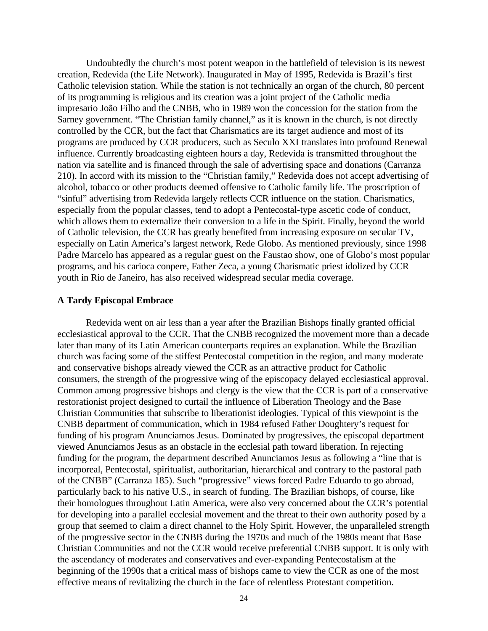Undoubtedly the church's most potent weapon in the battlefield of television is its newest creation, Redevida (the Life Network). Inaugurated in May of 1995, Redevida is Brazil's first Catholic television station. While the station is not technically an organ of the church, 80 percent of its programming is religious and its creation was a joint project of the Catholic media impresario João Filho and the CNBB, who in 1989 won the concession for the station from the Sarney government. "The Christian family channel," as it is known in the church, is not directly controlled by the CCR, but the fact that Charismatics are its target audience and most of its programs are produced by CCR producers, such as Seculo XXI translates into profound Renewal influence. Currently broadcasting eighteen hours a day, Redevida is transmitted throughout the nation via satellite and is financed through the sale of advertising space and donations (Carranza 210). In accord with its mission to the "Christian family," Redevida does not accept advertising of alcohol, tobacco or other products deemed offensive to Catholic family life. The proscription of "sinful" advertising from Redevida largely reflects CCR influence on the station. Charismatics, especially from the popular classes, tend to adopt a Pentecostal-type ascetic code of conduct, which allows them to externalize their conversion to a life in the Spirit. Finally, beyond the world of Catholic television, the CCR has greatly benefited from increasing exposure on secular TV, especially on Latin America's largest network, Rede Globo. As mentioned previously, since 1998 Padre Marcelo has appeared as a regular guest on the Faustao show, one of Globo's most popular programs, and his carioca conpere, Father Zeca, a young Charismatic priest idolized by CCR youth in Rio de Janeiro, has also received widespread secular media coverage.

# **A Tardy Episcopal Embrace**

Redevida went on air less than a year after the Brazilian Bishops finally granted official ecclesiastical approval to the CCR. That the CNBB recognized the movement more than a decade later than many of its Latin American counterparts requires an explanation. While the Brazilian church was facing some of the stiffest Pentecostal competition in the region, and many moderate and conservative bishops already viewed the CCR as an attractive product for Catholic consumers, the strength of the progressive wing of the episcopacy delayed ecclesiastical approval. Common among progressive bishops and clergy is the view that the CCR is part of a conservative restorationist project designed to curtail the influence of Liberation Theology and the Base Christian Communities that subscribe to liberationist ideologies. Typical of this viewpoint is the CNBB department of communication, which in 1984 refused Father Doughtery's request for funding of his program Anunciamos Jesus. Dominated by progressives, the episcopal department viewed Anunciamos Jesus as an obstacle in the ecclesial path toward liberation. In rejecting funding for the program, the department described Anunciamos Jesus as following a "line that is incorporeal, Pentecostal, spiritualist, authoritarian, hierarchical and contrary to the pastoral path of the CNBB" (Carranza 185). Such "progressive" views forced Padre Eduardo to go abroad, particularly back to his native U.S., in search of funding. The Brazilian bishops, of course, like their homologues throughout Latin America, were also very concerned about the CCR's potential for developing into a parallel ecclesial movement and the threat to their own authority posed by a group that seemed to claim a direct channel to the Holy Spirit. However, the unparalleled strength of the progressive sector in the CNBB during the 1970s and much of the 1980s meant that Base Christian Communities and not the CCR would receive preferential CNBB support. It is only with the ascendancy of moderates and conservatives and ever-expanding Pentecostalism at the beginning of the 1990s that a critical mass of bishops came to view the CCR as one of the most effective means of revitalizing the church in the face of relentless Protestant competition.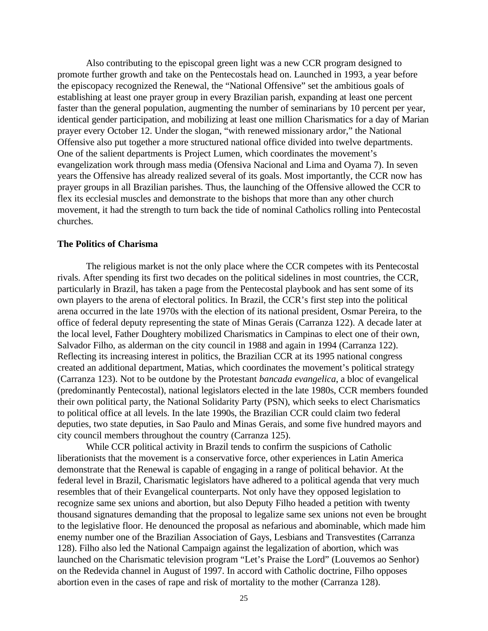Also contributing to the episcopal green light was a new CCR program designed to promote further growth and take on the Pentecostals head on. Launched in 1993, a year before the episcopacy recognized the Renewal, the "National Offensive" set the ambitious goals of establishing at least one prayer group in every Brazilian parish, expanding at least one percent faster than the general population, augmenting the number of seminarians by 10 percent per year, identical gender participation, and mobilizing at least one million Charismatics for a day of Marian prayer every October 12. Under the slogan, "with renewed missionary ardor," the National Offensive also put together a more structured national office divided into twelve departments. One of the salient departments is Project Lumen, which coordinates the movement's evangelization work through mass media (Ofensiva Nacional and Lima and Oyama 7). In seven years the Offensive has already realized several of its goals. Most importantly, the CCR now has prayer groups in all Brazilian parishes. Thus, the launching of the Offensive allowed the CCR to flex its ecclesial muscles and demonstrate to the bishops that more than any other church movement, it had the strength to turn back the tide of nominal Catholics rolling into Pentecostal churches.

### **The Politics of Charisma**

The religious market is not the only place where the CCR competes with its Pentecostal rivals. After spending its first two decades on the political sidelines in most countries, the CCR, particularly in Brazil, has taken a page from the Pentecostal playbook and has sent some of its own players to the arena of electoral politics. In Brazil, the CCR's first step into the political arena occurred in the late 1970s with the election of its national president, Osmar Pereira, to the office of federal deputy representing the state of Minas Gerais (Carranza 122). A decade later at the local level, Father Doughtery mobilized Charismatics in Campinas to elect one of their own, Salvador Filho, as alderman on the city council in 1988 and again in 1994 (Carranza 122). Reflecting its increasing interest in politics, the Brazilian CCR at its 1995 national congress created an additional department, Matias, which coordinates the movement's political strategy (Carranza 123). Not to be outdone by the Protestant *bancada evangelica*, a bloc of evangelical (predominantly Pentecostal), national legislators elected in the late 1980s, CCR members founded their own political party, the National Solidarity Party (PSN), which seeks to elect Charismatics to political office at all levels. In the late 1990s, the Brazilian CCR could claim two federal deputies, two state deputies, in Sao Paulo and Minas Gerais, and some five hundred mayors and city council members throughout the country (Carranza 125).

While CCR political activity in Brazil tends to confirm the suspicions of Catholic liberationists that the movement is a conservative force, other experiences in Latin America demonstrate that the Renewal is capable of engaging in a range of political behavior. At the federal level in Brazil, Charismatic legislators have adhered to a political agenda that very much resembles that of their Evangelical counterparts. Not only have they opposed legislation to recognize same sex unions and abortion, but also Deputy Filho headed a petition with twenty thousand signatures demanding that the proposal to legalize same sex unions not even be brought to the legislative floor. He denounced the proposal as nefarious and abominable, which made him enemy number one of the Brazilian Association of Gays, Lesbians and Transvestites (Carranza 128). Filho also led the National Campaign against the legalization of abortion, which was launched on the Charismatic television program "Let's Praise the Lord" (Louvemos ao Senhor) on the Redevida channel in August of 1997. In accord with Catholic doctrine, Filho opposes abortion even in the cases of rape and risk of mortality to the mother (Carranza 128).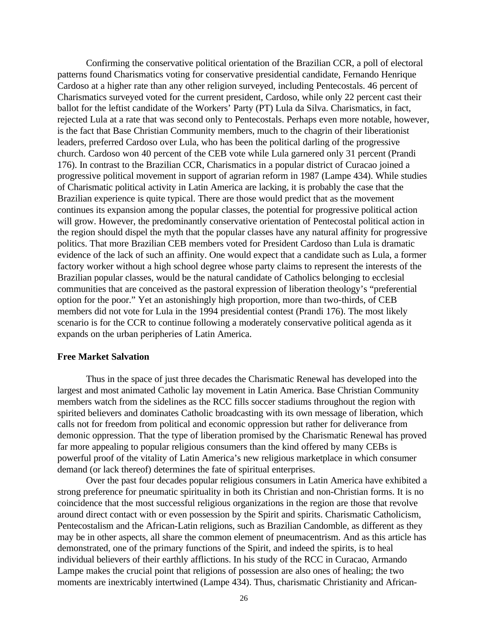Confirming the conservative political orientation of the Brazilian CCR, a poll of electoral patterns found Charismatics voting for conservative presidential candidate, Fernando Henrique Cardoso at a higher rate than any other religion surveyed, including Pentecostals. 46 percent of Charismatics surveyed voted for the current president, Cardoso, while only 22 percent cast their ballot for the leftist candidate of the Workers' Party (PT) Lula da Silva. Charismatics, in fact, rejected Lula at a rate that was second only to Pentecostals. Perhaps even more notable, however, is the fact that Base Christian Community members, much to the chagrin of their liberationist leaders, preferred Cardoso over Lula, who has been the political darling of the progressive church. Cardoso won 40 percent of the CEB vote while Lula garnered only 31 percent (Prandi 176). In contrast to the Brazilian CCR, Charismatics in a popular district of Curacao joined a progressive political movement in support of agrarian reform in 1987 (Lampe 434). While studies of Charismatic political activity in Latin America are lacking, it is probably the case that the Brazilian experience is quite typical. There are those would predict that as the movement continues its expansion among the popular classes, the potential for progressive political action will grow. However, the predominantly conservative orientation of Pentecostal political action in the region should dispel the myth that the popular classes have any natural affinity for progressive politics. That more Brazilian CEB members voted for President Cardoso than Lula is dramatic evidence of the lack of such an affinity. One would expect that a candidate such as Lula, a former factory worker without a high school degree whose party claims to represent the interests of the Brazilian popular classes, would be the natural candidate of Catholics belonging to ecclesial communities that are conceived as the pastoral expression of liberation theology's "preferential option for the poor." Yet an astonishingly high proportion, more than two-thirds, of CEB members did not vote for Lula in the 1994 presidential contest (Prandi 176). The most likely scenario is for the CCR to continue following a moderately conservative political agenda as it expands on the urban peripheries of Latin America.

# **Free Market Salvation**

Thus in the space of just three decades the Charismatic Renewal has developed into the largest and most animated Catholic lay movement in Latin America. Base Christian Community members watch from the sidelines as the RCC fills soccer stadiums throughout the region with spirited believers and dominates Catholic broadcasting with its own message of liberation, which calls not for freedom from political and economic oppression but rather for deliverance from demonic oppression. That the type of liberation promised by the Charismatic Renewal has proved far more appealing to popular religious consumers than the kind offered by many CEBs is powerful proof of the vitality of Latin America's new religious marketplace in which consumer demand (or lack thereof) determines the fate of spiritual enterprises.

Over the past four decades popular religious consumers in Latin America have exhibited a strong preference for pneumatic spirituality in both its Christian and non-Christian forms. It is no coincidence that the most successful religious organizations in the region are those that revolve around direct contact with or even possession by the Spirit and spirits. Charismatic Catholicism, Pentecostalism and the African-Latin religions, such as Brazilian Candomble, as different as they may be in other aspects, all share the common element of pneumacentrism. And as this article has demonstrated, one of the primary functions of the Spirit, and indeed the spirits, is to heal individual believers of their earthly afflictions. In his study of the RCC in Curacao, Armando Lampe makes the crucial point that religions of possession are also ones of healing; the two moments are inextricably intertwined (Lampe 434). Thus, charismatic Christianity and African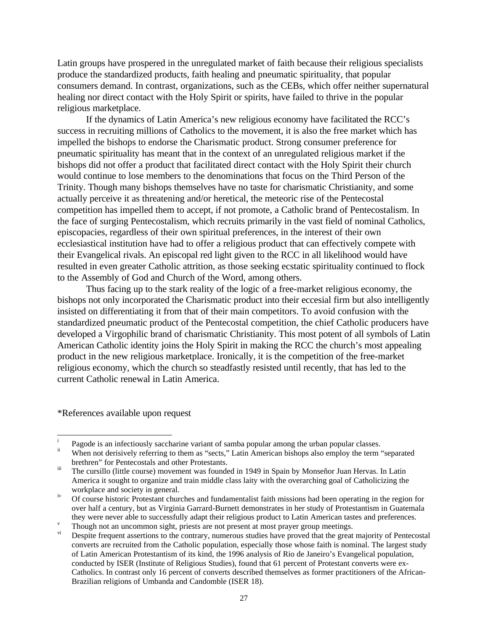Latin groups have prospered in the unregulated market of faith because their religious specialists produce the standardized products, faith healing and pneumatic spirituality, that popular consumers demand. In contrast, organizations, such as the CEBs, which offer neither supernatural healing nor direct contact with the Holy Spirit or spirits, have failed to thrive in the popular religious marketplace.

If the dynamics of Latin America's new religious economy have facilitated the RCC's success in recruiting millions of Catholics to the movement, it is also the free market which has impelled the bishops to endorse the Charismatic product. Strong consumer preference for pneumatic spirituality has meant that in the context of an unregulated religious market if the bishops did not offer a product that facilitated direct contact with the Holy Spirit their church would continue to lose members to the denominations that focus on the Third Person of the Trinity. Though many bishops themselves have no taste for charismatic Christianity, and some actually perceive it as threatening and/or heretical, the meteoric rise of the Pentecostal competition has impelled them to accept, if not promote, a Catholic brand of Pentecostalism. In the face of surging Pentecostalism, which recruits primarily in the vast field of nominal Catholics, episcopacies, regardless of their own spiritual preferences, in the interest of their own ecclesiastical institution have had to offer a religious product that can effectively compete with their Evangelical rivals. An episcopal red light given to the RCC in all likelihood would have resulted in even greater Catholic attrition, as those seeking ecstatic spirituality continued to flock to the Assembly of God and Church of the Word, among others.

Thus facing up to the stark reality of the logic of a free-market religious economy, the bishops not only incorporated the Charismatic product into their eccesial firm but also intelligently insisted on differentiating it from that of their main competitors. To avoid confusion with the standardized pneumatic product of the Pentecostal competition, the chief Catholic producers have developed a Virgophilic brand of charismatic Christianity. This most potent of all symbols of Latin American Catholic identity joins the Holy Spirit in making the RCC the church's most appealing product in the new religious marketplace. Ironically, it is the competition of the free-market religious economy, which the church so steadfastly resisted until recently, that has led to the current Catholic renewal in Latin America.

\*References available upon request

 $\overline{a}$ i Pagode is an infectiously saccharine variant of samba popular among the urban popular classes.

<sup>&</sup>lt;sup>ii</sup> When not derisively referring to them as "sects," Latin American bishops also employ the term "separated brethren" for Pentecostals and other Protestants.

iii The cursillo (little course) movement was founded in 1949 in Spain by Monseñor Juan Hervas. In Latin America it sought to organize and train middle class laity with the overarching goal of Catholicizing the workplace and society in general.

<sup>&</sup>lt;sup>iv</sup> Of course historic Protestant churches and fundamentalist faith missions had been operating in the region for over half a century, but as Virginia Garrard-Burnett demonstrates in her study of Protestantism in Guatemala they were never able to successfully adapt their religious product to Latin American tastes and preferences.

v Though not an uncommon sight, priests are not present at most prayer group meetings.

Despite frequent assertions to the contrary, numerous studies have proved that the great majority of Pentecostal converts are recruited from the Catholic population, especially those whose faith is nominal. The largest study of Latin American Protestantism of its kind, the 1996 analysis of Rio de Janeiro's Evangelical population, conducted by ISER (Institute of Religious Studies), found that 61 percent of Protestant converts were ex-Catholics. In contrast only 16 percent of converts described themselves as former practitioners of the African-Brazilian religions of Umbanda and Candomble (ISER 18).